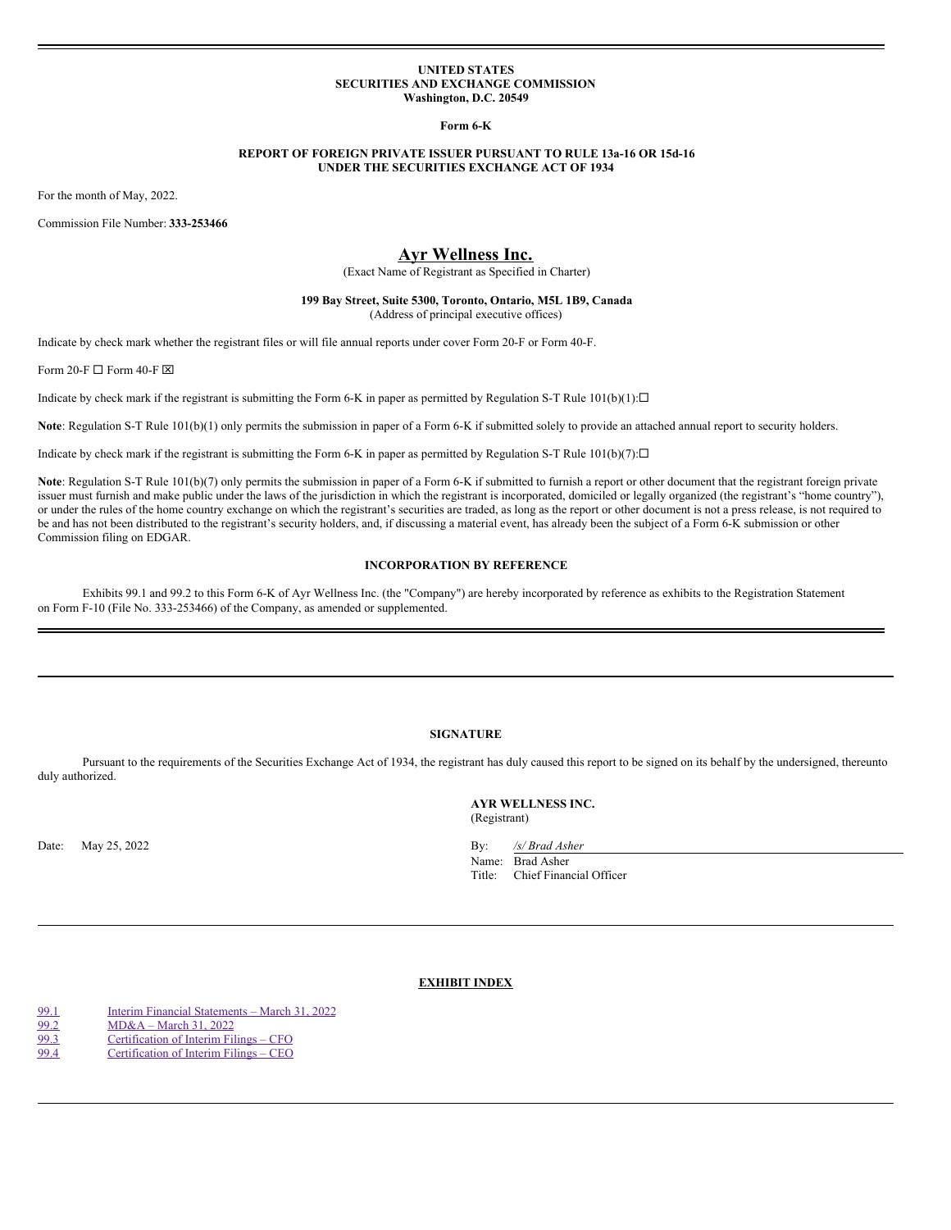### **UNITED STATES SECURITIES AND EXCHANGE COMMISSION Washington, D.C. 20549**

**Form 6-K**

### **REPORT OF FOREIGN PRIVATE ISSUER PURSUANT TO RULE 13a-16 OR 15d-16 UNDER THE SECURITIES EXCHANGE ACT OF 1934**

For the month of May, 2022.

Commission File Number: **333-253466**

# **Ayr Wellness Inc.**

(Exact Name of Registrant as Specified in Charter)

### **199 Bay Street, Suite 5300, Toronto, Ontario, M5L 1B9, Canada** (Address of principal executive offices)

Indicate by check mark whether the registrant files or will file annual reports under cover Form 20-F or Form 40-F.

Form 20-F  $\Box$  Form 40-F  $\boxtimes$ 

Indicate by check mark if the registrant is submitting the Form 6-K in paper as permitted by Regulation S-T Rule  $101(b)(1): \Box$ 

Note: Regulation S-T Rule 101(b)(1) only permits the submission in paper of a Form 6-K if submitted solely to provide an attached annual report to security holders.

Indicate by check mark if the registrant is submitting the Form 6-K in paper as permitted by Regulation S-T Rule  $101(b)(7): \Box$ 

Note: Regulation S-T Rule 101(b)(7) only permits the submission in paper of a Form 6-K if submitted to furnish a report or other document that the registrant foreign private issuer must furnish and make public under the laws of the jurisdiction in which the registrant is incorporated, domiciled or legally organized (the registrant's "home country"), or under the rules of the home country exchange on which the registrant's securities are traded, as long as the report or other document is not a press release, is not required to be and has not been distributed to the registrant's security holders, and, if discussing a material event, has already been the subject of a Form 6-K submission or other Commission filing on EDGAR.

### **INCORPORATION BY REFERENCE**

Exhibits 99.1 and 99.2 to this Form 6-K of Ayr Wellness Inc. (the "Company") are hereby incorporated by reference as exhibits to the Registration Statement on Form F-10 (File No. 333-253466) of the Company, as amended or supplemented.

## **SIGNATURE**

Pursuant to the requirements of the Securities Exchange Act of 1934, the registrant has duly caused this report to be signed on its behalf by the undersigned, thereunto duly authorized.

> **AYR WELLNESS INC.** (Registrant)

Date: May 25, 2022 By: */s/ Brad Asher* Name: Brad Asher Title: Chief Financial Officer

## **EXHIBIT INDEX**

[99.1](#page-8-0) Interim Financial [Statements](#page-8-0) – March 31, 2022 [99.2](#page-19-0) [MD&A](#page-19-0) – March 31, 2022 [99.3](#page-24-0) [Certification](#page-24-0) of Interim Filings – CFO [99.4](#page-25-0) [Certification](#page-25-0) of Interim Filings – CEO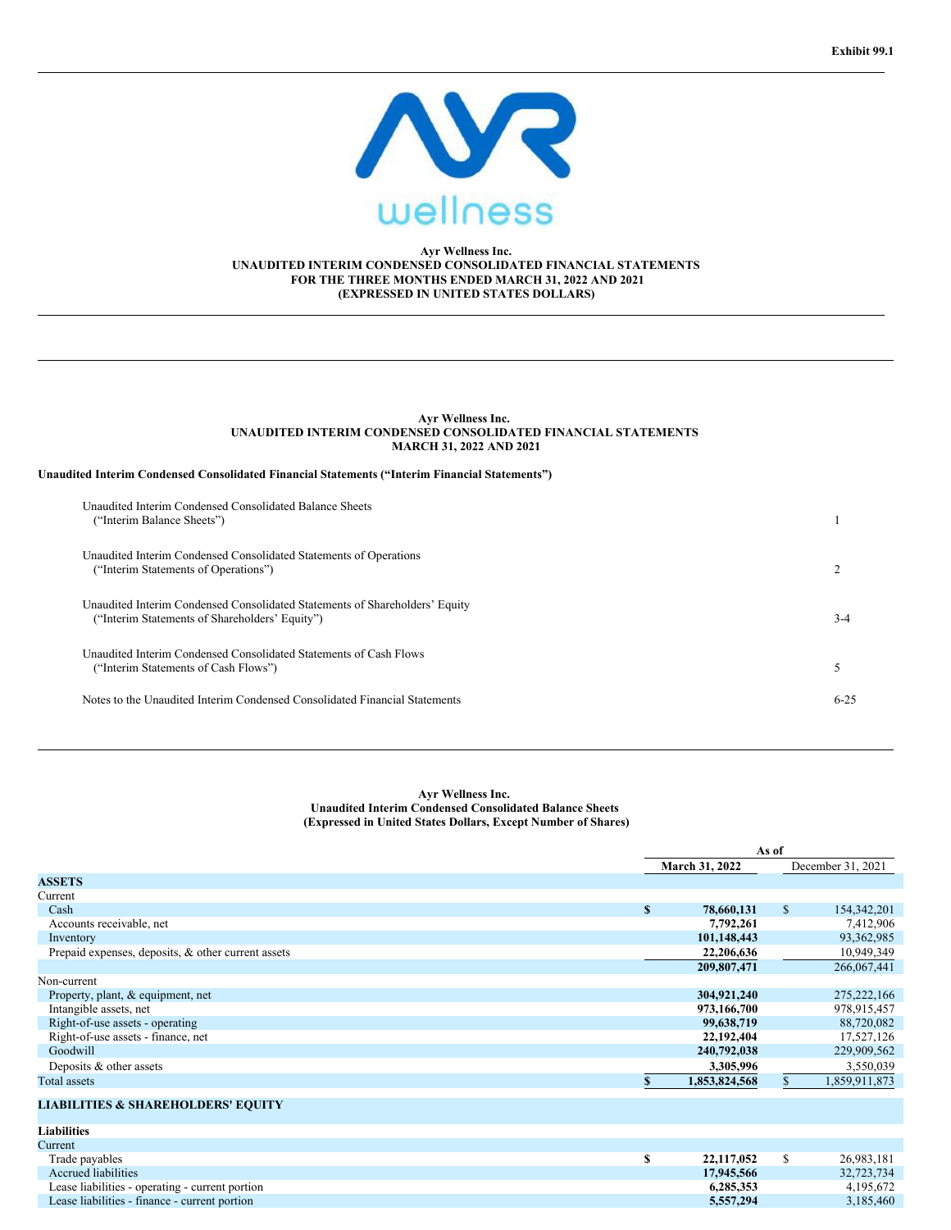

### **Ayr Wellness Inc. UNAUDITED INTERIM CONDENSED CONSOLIDATED FINANCIAL STATEMENTS FOR THE THREE MONTHS ENDED MARCH 31, 2022 AND 2021 (EXPRESSED IN UNITED STATES DOLLARS)**

### **Ayr Wellness Inc. UNAUDITED INTERIM CONDENSED CONSOLIDATED FINANCIAL STATEMENTS MARCH 31, 2022 AND 2021**

### **Unaudited Interim Condensed Consolidated Financial Statements ("Interim Financial Statements")**

| Unaudited Interim Condensed Consolidated Balance Sheets<br>("Interim Balance Sheets")                                         |          |
|-------------------------------------------------------------------------------------------------------------------------------|----------|
| Unaudited Interim Condensed Consolidated Statements of Operations<br>("Interim Statements of Operations")                     |          |
| Unaudited Interim Condensed Consolidated Statements of Shareholders' Equity<br>("Interim Statements of Shareholders' Equity") | $3-4$    |
| Unaudited Interim Condensed Consolidated Statements of Cash Flows<br>("Interim Statements of Cash Flows")                     |          |
| Notes to the Unaudited Interim Condensed Consolidated Financial Statements                                                    | $6 - 25$ |

### **Ayr Wellness Inc. Unaudited Interim Condensed Consolidated Balance Sheets (Expressed in United States Dollars, Except Number of Shares)**

|                                                    | As of            |    |                   |
|----------------------------------------------------|------------------|----|-------------------|
|                                                    | March 31, 2022   |    | December 31, 2021 |
| <b>ASSETS</b>                                      |                  |    |                   |
| Current                                            |                  |    |                   |
| Cash                                               | \$<br>78,660,131 | \$ | 154, 342, 201     |
| Accounts receivable, net                           | 7,792,261        |    | 7,412,906         |
| Inventory                                          | 101,148,443      |    | 93,362,985        |
| Prepaid expenses, deposits, & other current assets | 22,206,636       |    | 10,949,349        |
|                                                    | 209,807,471      |    | 266,067,441       |
| Non-current                                        |                  |    |                   |
| Property, plant, & equipment, net                  | 304,921,240      |    | 275, 222, 166     |
| Intangible assets, net                             | 973,166,700      |    | 978,915,457       |
| Right-of-use assets - operating                    | 99,638,719       |    | 88,720,082        |
| Right-of-use assets - finance, net                 | 22,192,404       |    | 17,527,126        |
| Goodwill                                           | 240,792,038      |    | 229,909,562       |
| Deposits & other assets                            | 3,305,996        |    | 3,550,039         |
| Total assets                                       | 1,853,824,568    | S  | 1,859,911,873     |
| <b>LIABILITIES &amp; SHAREHOLDERS' EQUITY</b>      |                  |    |                   |
| <b>Liabilities</b>                                 |                  |    |                   |
| Current                                            |                  |    |                   |
| Trade payables                                     | \$<br>22,117,052 | \$ | 26,983,181        |
| <b>Accrued liabilities</b>                         | 17,945,566       |    | 32,723,734        |
| Lease liabilities - operating - current portion    | 6,285,353        |    | 4,195,672         |
| Lease liabilities - finance - current portion      | 5,557,294        |    | 3,185,460         |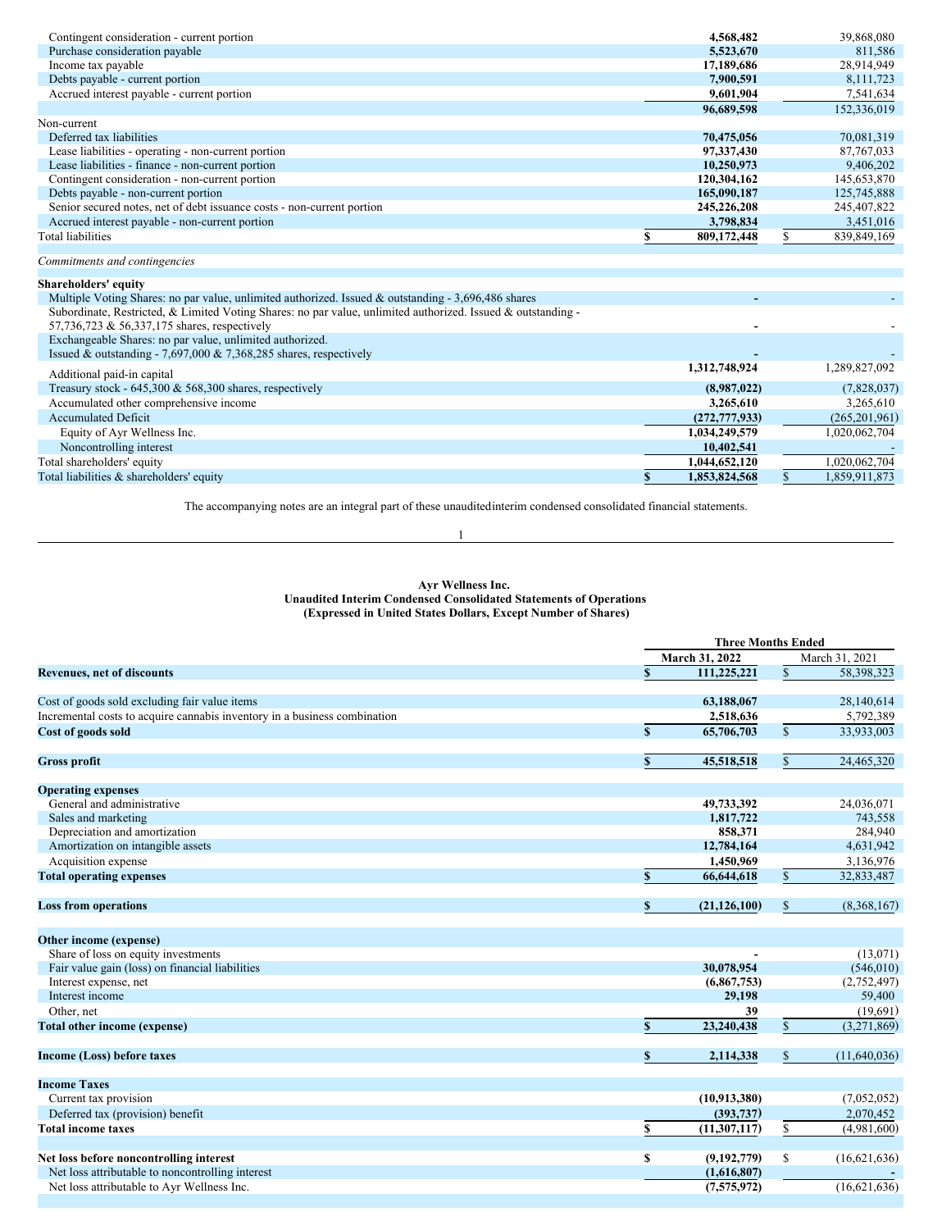| Contingent consideration - current portion                                                                   | 4,568,482           |              | 39,868,080      |
|--------------------------------------------------------------------------------------------------------------|---------------------|--------------|-----------------|
| Purchase consideration payable                                                                               | 5,523,670           |              | 811,586         |
| Income tax payable                                                                                           | 17,189,686          |              | 28,914,949      |
| Debts payable - current portion                                                                              | 7.900.591           |              | 8,111,723       |
| Accrued interest payable - current portion                                                                   | 9.601.904           |              | 7,541,634       |
|                                                                                                              | 96,689,598          |              | 152,336,019     |
| Non-current                                                                                                  |                     |              |                 |
| Deferred tax liabilities                                                                                     | 70,475,056          |              | 70,081,319      |
| Lease liabilities - operating - non-current portion                                                          | 97,337,430          |              | 87, 767, 033    |
| Lease liabilities - finance - non-current portion                                                            | 10,250,973          |              | 9,406,202       |
| Contingent consideration - non-current portion                                                               | 120,304,162         |              | 145,653,870     |
| Debts payable - non-current portion                                                                          | 165,090,187         |              | 125,745,888     |
| Senior secured notes, net of debt issuance costs - non-current portion                                       | 245,226,208         |              | 245, 407, 822   |
| Accrued interest payable - non-current portion                                                               | 3,798,834           |              | 3,451,016       |
| <b>Total liabilities</b>                                                                                     | 809,172,448         |              | 839,849,169     |
|                                                                                                              |                     |              |                 |
| Commitments and contingencies                                                                                |                     |              |                 |
| Shareholders' equity                                                                                         |                     |              |                 |
| Multiple Voting Shares: no par value, unlimited authorized. Issued & outstanding - 3,696,486 shares          |                     |              |                 |
| Subordinate, Restricted, & Limited Voting Shares: no par value, unlimited authorized. Issued & outstanding - |                     |              |                 |
| 57,736,723 & 56,337,175 shares, respectively                                                                 |                     |              |                 |
| Exchangeable Shares: no par value, unlimited authorized.                                                     |                     |              |                 |
| Issued & outstanding - 7,697,000 & 7,368,285 shares, respectively                                            |                     |              |                 |
| Additional paid-in capital                                                                                   | 1,312,748,924       |              | 1,289,827,092   |
| Treasury stock - $645,300 \& 568,300$ shares, respectively                                                   | (8,987,022)         |              | (7,828,037)     |
| Accumulated other comprehensive income                                                                       | 3,265,610           |              | 3,265,610       |
| <b>Accumulated Deficit</b>                                                                                   | (272, 777, 933)     |              | (265, 201, 961) |
| Equity of Ayr Wellness Inc.                                                                                  | 1,034,249,579       |              | 1,020,062,704   |
| Noncontrolling interest                                                                                      | 10,402,541          |              |                 |
| Total shareholders' equity                                                                                   | 1,044,652,120       |              | 1.020.062.704   |
| Total liabilities & shareholders' equity                                                                     | \$<br>1,853,824,568 | $\mathbb{S}$ | 1,859,911,873   |
|                                                                                                              |                     |              |                 |

The accompanying notes are an integral part of these unauditedinterim condensed consolidated financial statements. 1

#### **Ayr Wellness Inc.**

**Unaudited Interim Condensed Consolidated Statements of Operations**

**(Expressed in United States Dollars, Except Number of Shares)**

|                                                                           | <b>Three Months Ended</b> |                |              |              |
|---------------------------------------------------------------------------|---------------------------|----------------|--------------|--------------|
|                                                                           |                           | March 31, 2022 |              |              |
| <b>Revenues, net of discounts</b>                                         | \$                        | 111,225,221    | \$           | 58,398,323   |
| Cost of goods sold excluding fair value items                             |                           | 63,188,067     |              | 28,140,614   |
| Incremental costs to acquire cannabis inventory in a business combination |                           | 2,518,636      |              | 5,792,389    |
| Cost of goods sold                                                        | $\mathbf{s}$              | 65,706,703     | $\mathbb{S}$ | 33,933,003   |
| <b>Gross profit</b>                                                       |                           | 45,518,518     | \$           | 24,465,320   |
| <b>Operating expenses</b>                                                 |                           |                |              |              |
| General and administrative                                                |                           | 49,733,392     |              | 24,036,071   |
| Sales and marketing                                                       |                           | 1,817,722      |              | 743,558      |
| Depreciation and amortization                                             |                           | 858,371        |              | 284,940      |
| Amortization on intangible assets                                         |                           | 12,784,164     |              | 4,631,942    |
| Acquisition expense                                                       |                           | 1,450,969      |              | 3,136,976    |
| <b>Total operating expenses</b>                                           | $\mathbf{s}$              | 66,644,618     | \$           | 32,833,487   |
| <b>Loss from operations</b>                                               | \$                        | (21, 126, 100) | \$           | (8,368,167)  |
| Other income (expense)                                                    |                           |                |              |              |
| Share of loss on equity investments                                       |                           |                |              | (13,071)     |
| Fair value gain (loss) on financial liabilities                           |                           | 30,078,954     |              | (546, 010)   |
| Interest expense, net                                                     |                           | (6,867,753)    |              | (2,752,497)  |
| Interest income                                                           |                           | 29,198         |              | 59,400       |
| Other, net                                                                |                           | 39             |              | (19,691)     |
| <b>Total other income (expense)</b>                                       | $\mathbb{S}$              | 23,240,438     | \$           | (3,271,869)  |
| <b>Income (Loss) before taxes</b>                                         | \$                        | 2,114,338      | \$           | (11,640,036) |
| <b>Income Taxes</b>                                                       |                           |                |              |              |
| Current tax provision                                                     |                           | (10, 913, 380) |              | (7,052,052)  |
| Deferred tax (provision) benefit                                          |                           | (393, 737)     |              | 2,070,452    |
| <b>Total income taxes</b>                                                 | S                         | (11, 307, 117) | \$           | (4,981,600)  |
| Net loss before noncontrolling interest                                   | \$                        | (9,192,779)    | \$           | (16,621,636) |
| Net loss attributable to noncontrolling interest                          |                           | (1,616,807)    |              |              |
| Net loss attributable to Ayr Wellness Inc.                                |                           | (7,575,972)    |              | (16,621,636) |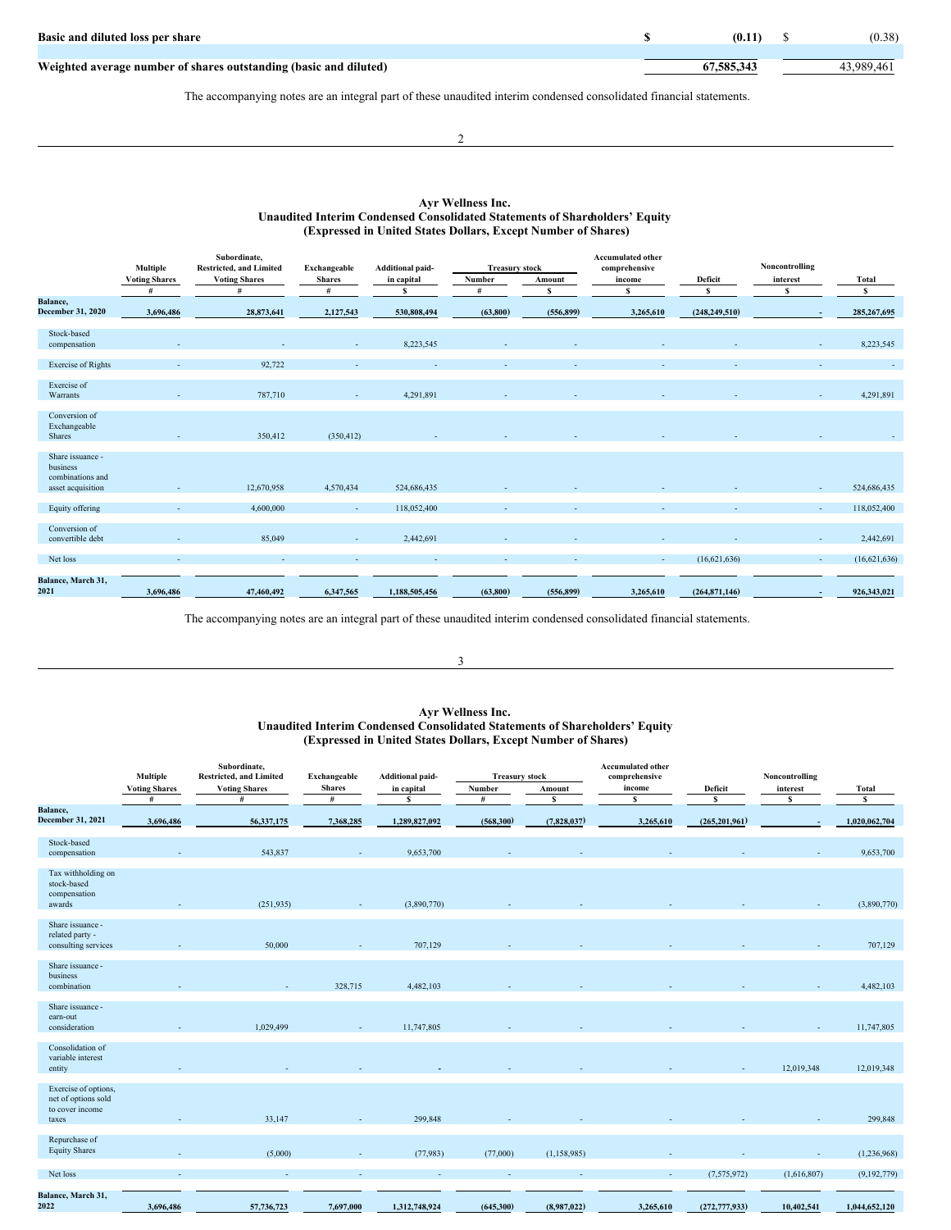| Basic and diluted loss per share                                  | (0.11)     | (0.38)     |
|-------------------------------------------------------------------|------------|------------|
| Weighted average number of shares outstanding (basic and diluted) | 67,585,343 | 43.989.461 |

The accompanying notes are an integral part of these unaudited interim condensed consolidated financial statements.

 $\overline{2}$ 

## **Ayr Wellness Inc. Unaudited Interim Condensed Consolidated Statements of Shareholders' Equity (Expressed in United States Dollars, Except Number of Shares)**

|                                                                       | Multiple             | Subordinate.<br><b>Restricted, and Limited</b> | Exchangeable  | <b>Additional paid-</b> | <b>Treasury stock</b> |            | <b>Accumulated other</b><br>comprehensive |                 | Noncontrolling |               |
|-----------------------------------------------------------------------|----------------------|------------------------------------------------|---------------|-------------------------|-----------------------|------------|-------------------------------------------|-----------------|----------------|---------------|
|                                                                       | <b>Voting Shares</b> | <b>Voting Shares</b>                           | <b>Shares</b> | in capital              | Number                | Amount     | income                                    | Deficit         | interest       | Total         |
| <b>Balance</b> ,                                                      | #                    | #                                              | #             | S                       | #                     | s          | s                                         | s               | s              | s             |
| <b>December 31, 2020</b>                                              | 3,696,486            | 28,873,641                                     | 2,127,543     | 530,808,494             | (63,800)              | (556, 899) | 3,265,610                                 | (248, 249, 510) |                | 285, 267, 695 |
| Stock-based<br>compensation                                           |                      |                                                |               | 8,223,545               |                       |            |                                           |                 |                | 8,223,545     |
| <b>Exercise</b> of Rights                                             |                      | 92,722                                         |               |                         |                       |            |                                           |                 |                |               |
| Exercise of<br>Warrants                                               |                      | 787,710                                        |               | 4,291,891               |                       |            |                                           |                 |                | 4,291,891     |
| Conversion of<br>Exchangeable<br><b>Shares</b>                        |                      | 350,412                                        | (350, 412)    |                         |                       |            |                                           |                 |                |               |
| Share issuance -<br>business<br>combinations and<br>asset acquisition |                      | 12,670,958                                     | 4,570,434     | 524,686,435             |                       |            |                                           |                 |                | 524,686,435   |
| Equity offering                                                       |                      | 4,600,000                                      |               | 118,052,400             |                       |            |                                           |                 | $\sim$         | 118,052,400   |
| Conversion of<br>convertible debt                                     |                      | 85,049                                         |               | 2,442,691               |                       |            |                                           |                 |                | 2,442,691     |
| Net loss                                                              | ٠                    |                                                |               |                         |                       |            | $\sim$                                    | (16,621,636)    | $\sim$         | (16,621,636)  |
| Balance, March 31,<br>2021                                            | 3,696,486            | 47,460,492                                     | 6,347,565     | 1,188,505,456           | (63, 800)             | (556, 899) | 3,265,610                                 | (264,871,146)   |                | 926,343,021   |

The accompanying notes are an integral part of these unaudited interim condensed consolidated financial statements.

## 3

### **Ayr Wellness Inc. Unaudited Interim Condensed Consolidated Statements of Shareholders' Equity (Expressed in United States Dollars, Except Number of Shares)**

|                                                                         | <b>Multiple</b>      | Subordinate,<br><b>Restricted, and Limited</b> | Exchangeable  | <b>Additional paid-</b> | <b>Treasury stock</b> |              | <b>Accumulated other</b><br>comprehensive |                 | Noncontrolling |               |
|-------------------------------------------------------------------------|----------------------|------------------------------------------------|---------------|-------------------------|-----------------------|--------------|-------------------------------------------|-----------------|----------------|---------------|
|                                                                         | <b>Voting Shares</b> | <b>Voting Shares</b>                           | <b>Shares</b> | in capital              | Number                | Amount       | income                                    | Deficit         | interest       | Total         |
| Balance,                                                                | #                    | #                                              | #             | s                       | #                     | s            | $\mathbf{s}$                              | $\mathbf{s}$    | s              | s             |
| December 31, 2021                                                       | 3,696,486            | 56,337,175                                     | 7,368,285     | 1,289,827,092           | (568, 300)            | (7,828,037)  | 3,265,610                                 | (265, 201, 961) |                | 1,020,062,704 |
| Stock-based<br>compensation                                             |                      | 543,837                                        |               | 9,653,700               |                       |              |                                           |                 |                | 9,653,700     |
| Tax withholding on<br>stock-based<br>compensation<br>awards             |                      | (251, 935)                                     |               | (3,890,770)             |                       |              |                                           |                 |                | (3,890,770)   |
| Share issuance -<br>related party -<br>consulting services              |                      | 50,000                                         |               | 707,129                 |                       |              |                                           |                 |                | 707,129       |
| Share issuance -<br>business<br>combination                             |                      |                                                | 328,715       | 4,482,103               |                       |              |                                           |                 |                | 4,482,103     |
| Share issuance -<br>earn-out<br>consideration                           |                      | 1,029,499                                      |               | 11,747,805              |                       |              |                                           |                 |                | 11,747,805    |
| Consolidation of<br>variable interest<br>entity                         |                      |                                                |               |                         |                       |              |                                           |                 | 12,019,348     | 12,019,348    |
| Exercise of options,<br>net of options sold<br>to cover income<br>taxes |                      | 33,147                                         |               | 299,848                 |                       |              |                                           |                 |                | 299,848       |
| Repurchase of<br><b>Equity Shares</b>                                   |                      | (5,000)                                        |               | (77,983)                | (77,000)              | (1,158,985)  |                                           |                 | ٠              | (1,236,968)   |
| Net loss                                                                |                      |                                                |               |                         |                       |              | $\sim$                                    | (7,575,972)     | (1,616,807)    | (9,192,779)   |
| Balance, March 31,<br>2022                                              | 3,696,486            | 57,736,723                                     | 7,697,000     | 1,312,748,924           | (645,300)             | (8.987, 022) | 3,265,610                                 | (272, 777, 933) | 10,402,541     | 1,044,652,120 |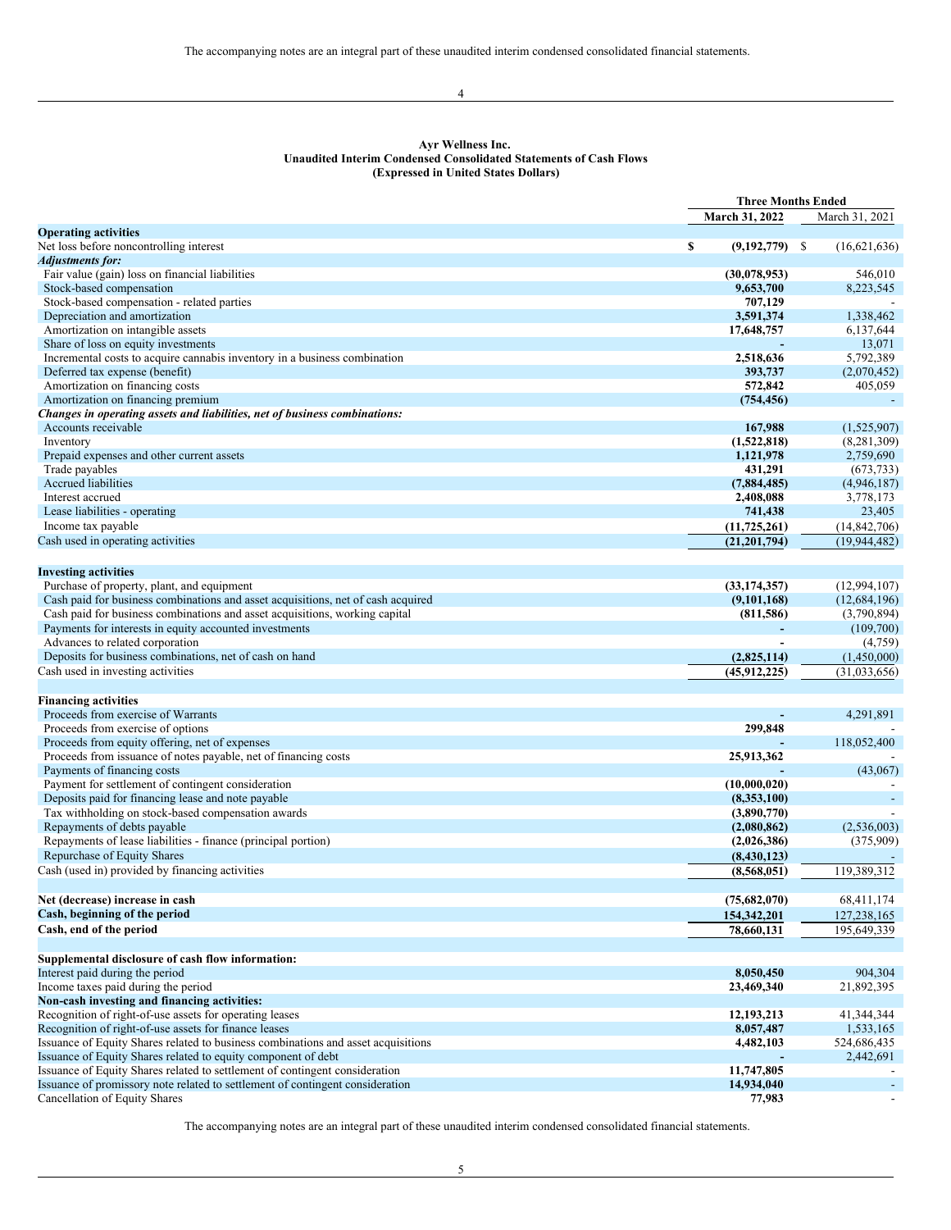4

## **Ayr Wellness Inc. Unaudited Interim Condensed Consolidated Statements of Cash Flows (Expressed in United States Dollars)**

|                                                                                   | <b>Three Months Ended</b> |                |  |
|-----------------------------------------------------------------------------------|---------------------------|----------------|--|
|                                                                                   | March 31, 2022            | March 31, 2021 |  |
| <b>Operating activities</b>                                                       |                           |                |  |
| Net loss before noncontrolling interest                                           | \$<br>$(9,192,779)$ \$    | (16,621,636)   |  |
| <b>Adjustments for:</b>                                                           |                           |                |  |
| Fair value (gain) loss on financial liabilities                                   | (30,078,953)              | 546,010        |  |
| Stock-based compensation                                                          | 9,653,700                 | 8,223,545      |  |
| Stock-based compensation - related parties                                        | 707,129                   |                |  |
| Depreciation and amortization                                                     | 3,591,374                 | 1,338,462      |  |
| Amortization on intangible assets                                                 | 17,648,757                | 6,137,644      |  |
| Share of loss on equity investments                                               |                           | 13,071         |  |
| Incremental costs to acquire cannabis inventory in a business combination         | 2,518,636                 | 5,792,389      |  |
| Deferred tax expense (benefit)                                                    | 393,737                   | (2,070,452)    |  |
| Amortization on financing costs                                                   | 572,842                   | 405,059        |  |
| Amortization on financing premium                                                 | (754, 456)                |                |  |
| Changes in operating assets and liabilities, net of business combinations:        |                           |                |  |
| Accounts receivable                                                               | 167,988                   | (1,525,907)    |  |
| Inventory                                                                         | (1,522,818)               | (8, 281, 309)  |  |
| Prepaid expenses and other current assets                                         | 1,121,978                 | 2,759,690      |  |
| Trade payables                                                                    | 431,291                   | (673, 733)     |  |
| Accrued liabilities                                                               | (7,884,485)               | (4,946,187)    |  |
| Interest accrued                                                                  | 2,408,088                 | 3,778,173      |  |
| Lease liabilities - operating                                                     | 741,438                   | 23,405         |  |
| Income tax payable                                                                | (11, 725, 261)            | (14, 842, 706) |  |
| Cash used in operating activities                                                 | (21, 201, 794)            | (19, 944, 482) |  |
|                                                                                   |                           |                |  |
| <b>Investing activities</b>                                                       |                           |                |  |
| Purchase of property, plant, and equipment                                        | (33, 174, 357)            | (12,994,107)   |  |
| Cash paid for business combinations and asset acquisitions, net of cash acquired  | (9,101,168)               | (12, 684, 196) |  |
| Cash paid for business combinations and asset acquisitions, working capital       | (811,586)                 | (3,790,894)    |  |
| Payments for interests in equity accounted investments                            | ٠                         | (109,700)      |  |
| Advances to related corporation                                                   |                           | (4,759)        |  |
| Deposits for business combinations, net of cash on hand                           | (2,825,114)               | (1,450,000)    |  |
| Cash used in investing activities                                                 | (45, 912, 225)            | (31,033,656)   |  |
|                                                                                   |                           |                |  |
| <b>Financing activities</b>                                                       |                           |                |  |
| Proceeds from exercise of Warrants                                                |                           | 4,291,891      |  |
| Proceeds from exercise of options                                                 | 299,848                   |                |  |
| Proceeds from equity offering, net of expenses                                    |                           | 118,052,400    |  |
| Proceeds from issuance of notes payable, net of financing costs                   | 25,913,362                |                |  |
| Payments of financing costs                                                       |                           | (43,067)       |  |
| Payment for settlement of contingent consideration                                | (10,000,020)              |                |  |
| Deposits paid for financing lease and note payable                                | (8,353,100)               |                |  |
| Tax withholding on stock-based compensation awards                                | (3,890,770)               |                |  |
| Repayments of debts payable                                                       | (2,080,862)               | (2,536,003)    |  |
| Repayments of lease liabilities - finance (principal portion)                     | (2,026,386)               | (375,909)      |  |
| Repurchase of Equity Shares                                                       | (8,430,123)               |                |  |
| Cash (used in) provided by financing activities                                   | (8, 568, 051)             | 119,389,312    |  |
|                                                                                   |                           |                |  |
| Net (decrease) increase in cash                                                   | (75,682,070)              | 68,411,174     |  |
| Cash, beginning of the period                                                     | 154,342,201               | 127,238,165    |  |
| Cash, end of the period                                                           | 78,660,131                | 195,649,339    |  |
|                                                                                   |                           |                |  |
| Supplemental disclosure of cash flow information:                                 |                           |                |  |
| Interest paid during the period                                                   | 8,050,450                 | 904,304        |  |
| Income taxes paid during the period                                               | 23,469,340                | 21,892,395     |  |
| Non-cash investing and financing activities:                                      |                           |                |  |
| Recognition of right-of-use assets for operating leases                           | 12, 193, 213              | 41,344,344     |  |
| Recognition of right-of-use assets for finance leases                             | 8,057,487                 | 1,533,165      |  |
| Issuance of Equity Shares related to business combinations and asset acquisitions | 4,482,103                 | 524,686,435    |  |
| Issuance of Equity Shares related to equity component of debt                     |                           | 2,442,691      |  |
| Issuance of Equity Shares related to settlement of contingent consideration       | 11,747,805                |                |  |
| Issuance of promissory note related to settlement of contingent consideration     | 14,934,040                |                |  |
| <b>Cancellation of Equity Shares</b>                                              | 77,983                    |                |  |
|                                                                                   |                           |                |  |

The accompanying notes are an integral part of these unaudited interim condensed consolidated financial statements.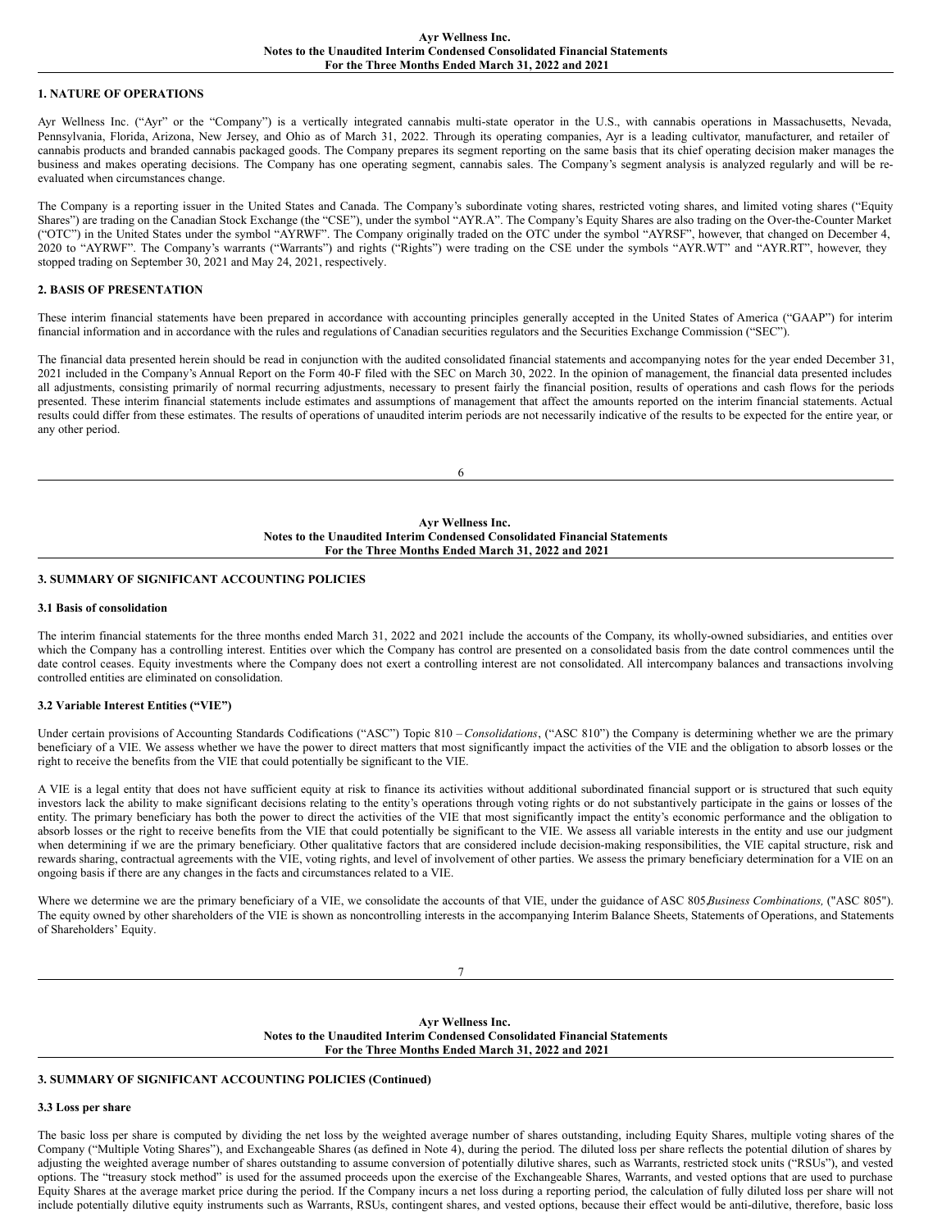#### **Ayr Wellness Inc. Notes to the Unaudited Interim Condensed Consolidated Financial Statements For the Three Months Ended March 31, 2022 and 2021**

### **1. NATURE OF OPERATIONS**

Ayr Wellness Inc. ("Ayr" or the "Company") is a vertically integrated cannabis multi-state operator in the U.S., with cannabis operations in Massachusetts, Nevada, Pennsylvania, Florida, Arizona, New Jersey, and Ohio as of March 31, 2022. Through its operating companies, Ayr is a leading cultivator, manufacturer, and retailer of cannabis products and branded cannabis packaged goods. The Company prepares its segment reporting on the same basis that its chief operating decision maker manages the business and makes operating decisions. The Company has one operating segment, cannabis sales. The Company's segment analysis is analyzed regularly and will be reevaluated when circumstances change.

The Company is a reporting issuer in the United States and Canada. The Company's subordinate voting shares, restricted voting shares, and limited voting shares ("Equity Shares") are trading on the Canadian Stock Exchange (the "CSE"), under the symbol "AYR.A". The Company's Equity Shares are also trading on the Over-the-Counter Market ("OTC") in the United States under the symbol "AYRWF". The Company originally traded on the OTC under the symbol "AYRSF", however, that changed on December 4, 2020 to "AYRWF". The Company's warrants ("Warrants") and rights ("Rights") were trading on the CSE under the symbols "AYR.WT" and "AYR.RT", however, they stopped trading on September 30, 2021 and May 24, 2021, respectively.

## **2. BASIS OF PRESENTATION**

These interim financial statements have been prepared in accordance with accounting principles generally accepted in the United States of America ("GAAP") for interim financial information and in accordance with the rules and regulations of Canadian securities regulators and the Securities Exchange Commission ("SEC").

The financial data presented herein should be read in conjunction with the audited consolidated financial statements and accompanying notes for the year ended December 31, 2021 included in the Company's Annual Report on the Form 40-F filed with the SEC on March 30, 2022. In the opinion of management, the financial data presented includes all adjustments, consisting primarily of normal recurring adjustments, necessary to present fairly the financial position, results of operations and cash flows for the periods presented. These interim financial statements include estimates and assumptions of management that affect the amounts reported on the interim financial statements. Actual results could differ from these estimates. The results of operations of unaudited interim periods are not necessarily indicative of the results to be expected for the entire year, or any other period.

6

#### **Ayr Wellness Inc. Notes to the Unaudited Interim Condensed Consolidated Financial Statements For the Three Months Ended March 31, 2022 and 2021**

## **3. SUMMARY OF SIGNIFICANT ACCOUNTING POLICIES**

### **3.1 Basis of consolidation**

The interim financial statements for the three months ended March 31, 2022 and 2021 include the accounts of the Company, its wholly-owned subsidiaries, and entities over which the Company has a controlling interest. Entities over which the Company has control are presented on a consolidated basis from the date control commences until the date control ceases. Equity investments where the Company does not exert a controlling interest are not consolidated. All intercompany balances and transactions involving controlled entities are eliminated on consolidation.

### **3.2 Variable Interest Entities ("VIE")**

Under certain provisions of Accounting Standards Codifications ("ASC") Topic 810 – *Consolidations*, ("ASC 810") the Company is determining whether we are the primary beneficiary of a VIE. We assess whether we have the power to direct matters that most significantly impact the activities of the VIE and the obligation to absorb losses or the right to receive the benefits from the VIE that could potentially be significant to the VIE.

A VIE is a legal entity that does not have sufficient equity at risk to finance its activities without additional subordinated financial support or is structured that such equity investors lack the ability to make significant decisions relating to the entity's operations through voting rights or do not substantively participate in the gains or losses of the entity. The primary beneficiary has both the power to direct the activities of the VIE that most significantly impact the entity's economic performance and the obligation to absorb losses or the right to receive benefits from the VIE that could potentially be significant to the VIE. We assess all variable interests in the entity and use our judgment when determining if we are the primary beneficiary. Other qualitative factors that are considered include decision-making responsibilities, the VIE capital structure, risk and rewards sharing, contractual agreements with the VIE, voting rights, and level of involvement of other parties. We assess the primary beneficiary determination for a VIE on an ongoing basis if there are any changes in the facts and circumstances related to a VIE.

Where we determine we are the primary beneficiary of a VIE, we consolidate the accounts of that VIE, under the guidance of ASC 805,*Business Combinations,* ("ASC 805"). The equity owned by other shareholders of the VIE is shown as noncontrolling interests in the accompanying Interim Balance Sheets, Statements of Operations, and Statements of Shareholders' Equity.

7

**Ayr Wellness Inc. Notes to the Unaudited Interim Condensed Consolidated Financial Statements For the Three Months Ended March 31, 2022 and 2021**

### **3. SUMMARY OF SIGNIFICANT ACCOUNTING POLICIES (Continued)**

### **3.3 Loss per share**

The basic loss per share is computed by dividing the net loss by the weighted average number of shares outstanding, including Equity Shares, multiple voting shares of the Company ("Multiple Voting Shares"), and Exchangeable Shares (as defined in Note 4), during the period. The diluted loss per share reflects the potential dilution of shares by adjusting the weighted average number of shares outstanding to assume conversion of potentially dilutive shares, such as Warrants, restricted stock units ("RSUs"), and vested options. The "treasury stock method" is used for the assumed proceeds upon the exercise of the Exchangeable Shares, Warrants, and vested options that are used to purchase Equity Shares at the average market price during the period. If the Company incurs a net loss during a reporting period, the calculation of fully diluted loss per share will not include potentially dilutive equity instruments such as Warrants, RSUs, contingent shares, and vested options, because their effect would be anti-dilutive, therefore, basic loss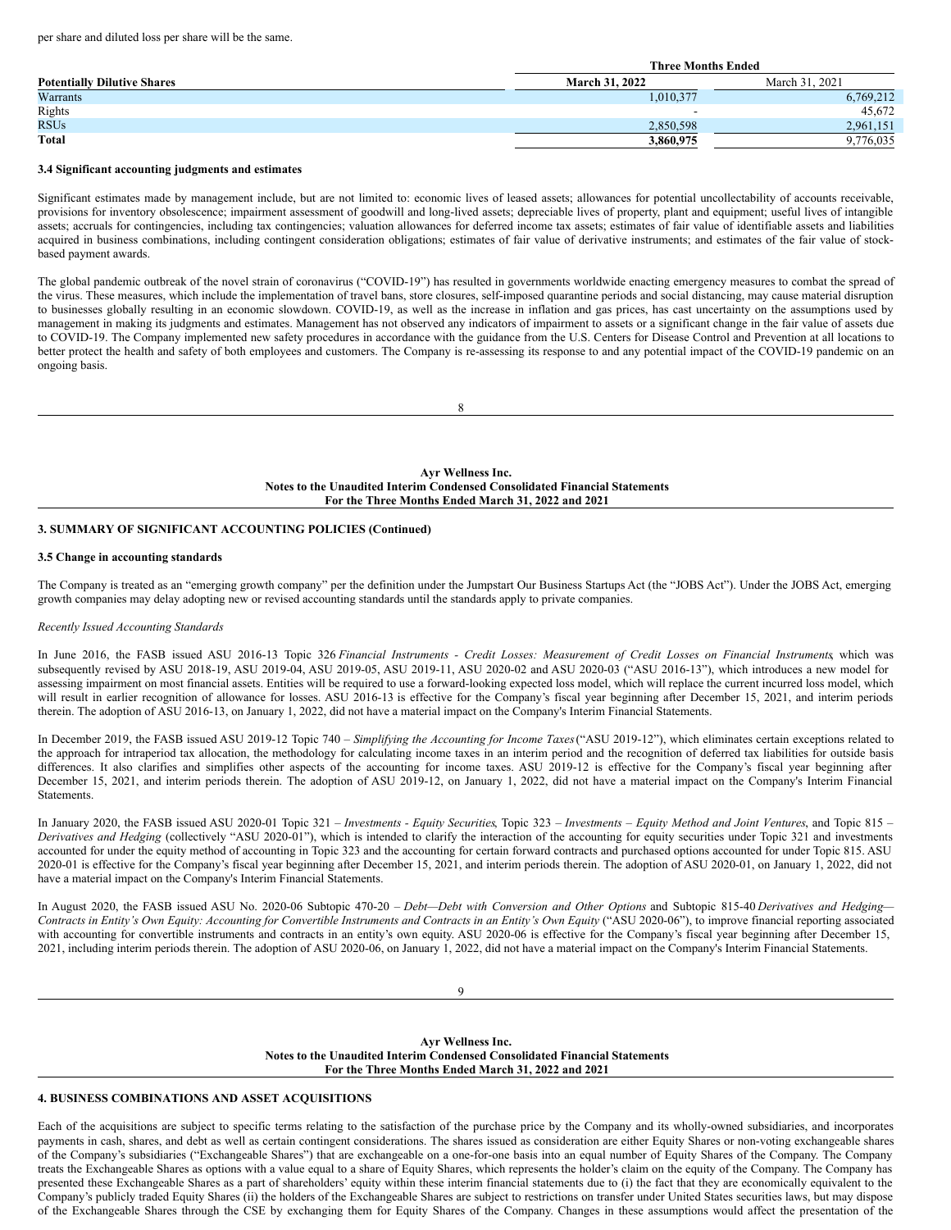per share and diluted loss per share will be the same.

|                                    | <b>Three Months Ended</b> |                |  |  |
|------------------------------------|---------------------------|----------------|--|--|
| <b>Potentially Dilutive Shares</b> | <b>March 31, 2022</b>     | March 31, 2021 |  |  |
| Warrants                           | 1,010,377                 | 6,769,212      |  |  |
| Rights                             | -                         | 45.672         |  |  |
| <b>RSUs</b>                        | 2,850,598                 | 2,961,151      |  |  |
| <b>Total</b>                       | 3,860,975                 | 9,776,035      |  |  |

### **3.4 Significant accounting judgments and estimates**

Significant estimates made by management include, but are not limited to: economic lives of leased assets; allowances for potential uncollectability of accounts receivable, provisions for inventory obsolescence; impairment assessment of goodwill and long-lived assets; depreciable lives of property, plant and equipment; useful lives of intangible assets; accruals for contingencies, including tax contingencies; valuation allowances for deferred income tax assets; estimates of fair value of identifiable assets and liabilities acquired in business combinations, including contingent consideration obligations; estimates of fair value of derivative instruments; and estimates of the fair value of stockbased payment awards.

The global pandemic outbreak of the novel strain of coronavirus ("COVID-19") has resulted in governments worldwide enacting emergency measures to combat the spread of the virus. These measures, which include the implementation of travel bans, store closures, self-imposed quarantine periods and social distancing, may cause material disruption to businesses globally resulting in an economic slowdown. COVID-19, as well as the increase in inflation and gas prices, has cast uncertainty on the assumptions used by management in making its judgments and estimates. Management has not observed any indicators of impairment to assets or a significant change in the fair value of assets due to COVID-19. The Company implemented new safety procedures in accordance with the guidance from the U.S. Centers for Disease Control and Prevention at all locations to better protect the health and safety of both employees and customers. The Company is re-assessing its response to and any potential impact of the COVID-19 pandemic on an ongoing basis.

8

**Ayr Wellness Inc. Notes to the Unaudited Interim Condensed Consolidated Financial Statements For the Three Months Ended March 31, 2022 and 2021**

### **3. SUMMARY OF SIGNIFICANT ACCOUNTING POLICIES (Continued)**

### **3.5 Change in accounting standards**

The Company is treated as an "emerging growth company" per the definition under the Jumpstart Our Business Startups Act (the "JOBS Act"). Under the JOBS Act, emerging growth companies may delay adopting new or revised accounting standards until the standards apply to private companies.

#### *Recently Issued Accounting Standards*

In June 2016, the FASB issued ASU 2016-13 Topic 326 Financial Instruments - Credit Losses: Measurement of Credit Losses on Financial Instruments which was subsequently revised by ASU 2018-19, ASU 2019-04, ASU 2019-05, ASU 2019-11, ASU 2020-02 and ASU 2020-03 ("ASU 2016-13"), which introduces a new model for assessing impairment on most financial assets. Entities will be required to use a forward-looking expected loss model, which will replace the current incurred loss model, which will result in earlier recognition of allowance for losses. ASU 2016-13 is effective for the Company's fiscal year beginning after December 15, 2021, and interim periods therein. The adoption of ASU 2016-13, on January 1, 2022, did not have a material impact on the Company's Interim Financial Statements.

In December 2019, the FASB issued ASU 2019-12 Topic 740 – *Simplifying the Accounting for Income Taxes*("ASU 2019-12"), which eliminates certain exceptions related to the approach for intraperiod tax allocation, the methodology for calculating income taxes in an interim period and the recognition of deferred tax liabilities for outside basis differences. It also clarifies and simplifies other aspects of the accounting for income taxes. ASU 2019-12 is effective for the Company's fiscal year beginning after December 15, 2021, and interim periods therein. The adoption of ASU 2019-12, on January 1, 2022, did not have a material impact on the Company's Interim Financial Statements.

In January 2020, the FASB issued ASU 2020-01 Topic 321 - Investments - Equity Securities, Topic 323 - Investments - Equity Method and Joint Ventures, and Topic 815 -*Derivatives and Hedging* (collectively "ASU 2020-01"), which is intended to clarify the interaction of the accounting for equity securities under Topic 321 and investments accounted for under the equity method of accounting in Topic 323 and the accounting for certain forward contracts and purchased options accounted for under Topic 815. ASU 2020-01 is effective for the Company's fiscal year beginning after December 15, 2021, and interim periods therein. The adoption of ASU 2020-01, on January 1, 2022, did not have a material impact on the Company's Interim Financial Statements.

In August 2020, the FASB issued ASU No. 2020-06 Subtopic 470-20 – *Debt—Debt with Conversion and Other Options* and Subtopic 815-40 *Derivatives and Hedging—* Contracts in Entity's Own Equity: Accounting for Convertible Instruments and Contracts in an Entity's Own Equity ("ASU 2020-06"), to improve financial reporting associated with accounting for convertible instruments and contracts in an entity's own equity. ASU 2020-06 is effective for the Company's fiscal year beginning after December 15, 2021, including interim periods therein. The adoption of ASU 2020-06, on January 1, 2022, did not have a material impact on the Company's Interim Financial Statements.

9

**Ayr Wellness Inc. Notes to the Unaudited Interim Condensed Consolidated Financial Statements For the Three Months Ended March 31, 2022 and 2021**

## **4. BUSINESS COMBINATIONS AND ASSET ACQUISITIONS**

Each of the acquisitions are subject to specific terms relating to the satisfaction of the purchase price by the Company and its wholly-owned subsidiaries, and incorporates payments in cash, shares, and debt as well as certain contingent considerations. The shares issued as consideration are either Equity Shares or non-voting exchangeable shares of the Company's subsidiaries ("Exchangeable Shares") that are exchangeable on a one-for-one basis into an equal number of Equity Shares of the Company. The Company treats the Exchangeable Shares as options with a value equal to a share of Equity Shares, which represents the holder's claim on the equity of the Company. The Company has presented these Exchangeable Shares as a part of shareholders' equity within these interim financial statements due to (i) the fact that they are economically equivalent to the Company's publicly traded Equity Shares (ii) the holders of the Exchangeable Shares are subject to restrictions on transfer under United States securities laws, but may dispose of the Exchangeable Shares through the CSE by exchanging them for Equity Shares of the Company. Changes in these assumptions would affect the presentation of the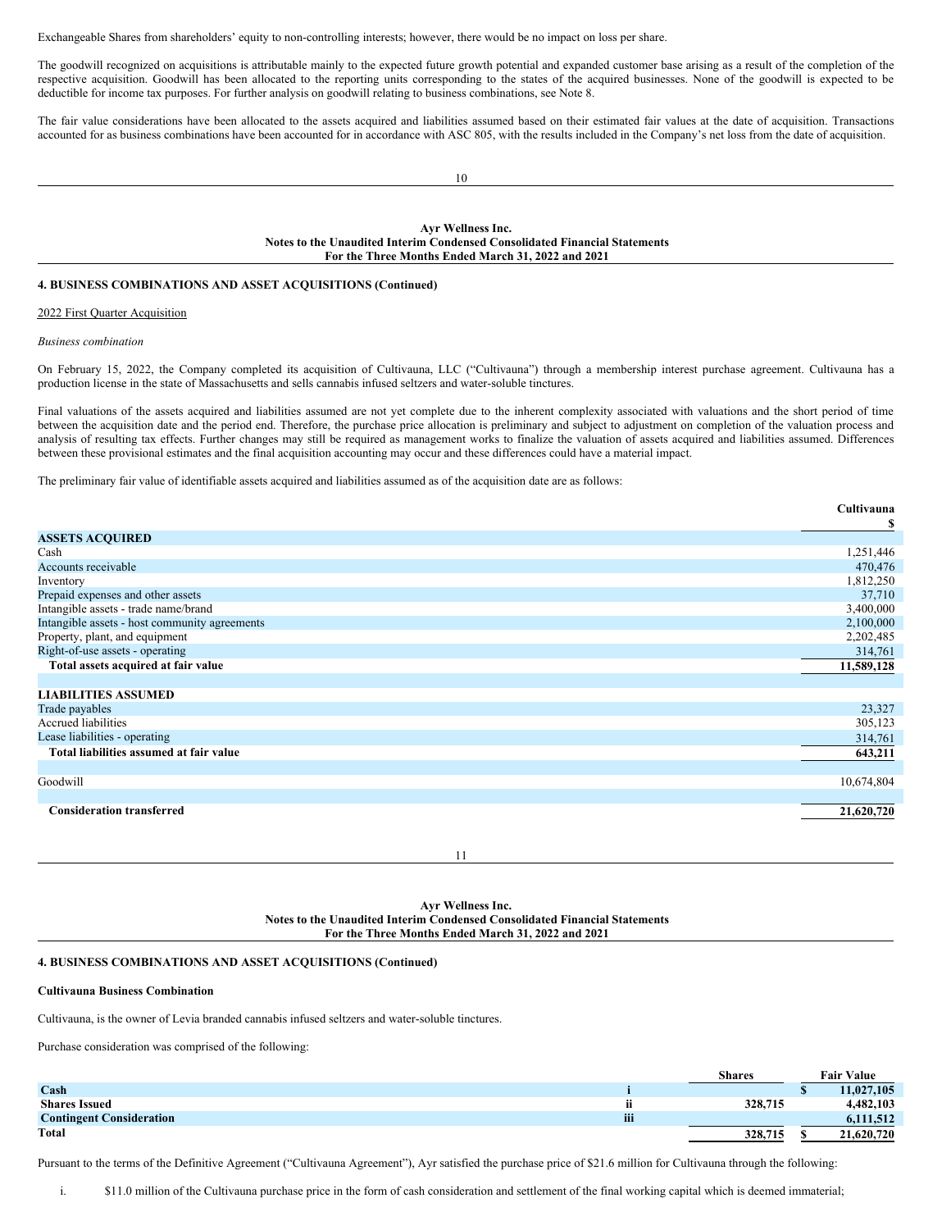Exchangeable Shares from shareholders' equity to non-controlling interests; however, there would be no impact on loss per share.

The goodwill recognized on acquisitions is attributable mainly to the expected future growth potential and expanded customer base arising as a result of the completion of the respective acquisition. Goodwill has been allocated to the reporting units corresponding to the states of the acquired businesses. None of the goodwill is expected to be deductible for income tax purposes. For further analysis on goodwill relating to business combinations, see Note 8.

The fair value considerations have been allocated to the assets acquired and liabilities assumed based on their estimated fair values at the date of acquisition. Transactions accounted for as business combinations have been accounted for in accordance with ASC 805, with the results included in the Company's net loss from the date of acquisition.

10

**Ayr Wellness Inc. Notes to the Unaudited Interim Condensed Consolidated Financial Statements For the Three Months Ended March 31, 2022 and 2021**

### **4. BUSINESS COMBINATIONS AND ASSET ACQUISITIONS (Continued)**

### 2022 First Quarter Acquisition

*Business combination*

On February 15, 2022, the Company completed its acquisition of Cultivauna, LLC ("Cultivauna") through a membership interest purchase agreement. Cultivauna has a production license in the state of Massachusetts and sells cannabis infused seltzers and water-soluble tinctures.

Final valuations of the assets acquired and liabilities assumed are not yet complete due to the inherent complexity associated with valuations and the short period of time between the acquisition date and the period end. Therefore, the purchase price allocation is preliminary and subject to adjustment on completion of the valuation process and analysis of resulting tax effects. Further changes may still be required as management works to finalize the valuation of assets acquired and liabilities assumed. Differences between these provisional estimates and the final acquisition accounting may occur and these differences could have a material impact.

The preliminary fair value of identifiable assets acquired and liabilities assumed as of the acquisition date are as follows:

|                                               | Cultivauna |
|-----------------------------------------------|------------|
|                                               | \$         |
| <b>ASSETS ACQUIRED</b>                        |            |
| Cash                                          | 1,251,446  |
| Accounts receivable                           | 470,476    |
| Inventory                                     | 1,812,250  |
| Prepaid expenses and other assets             | 37,710     |
| Intangible assets - trade name/brand          | 3,400,000  |
| Intangible assets - host community agreements | 2,100,000  |
| Property, plant, and equipment                | 2,202,485  |
| Right-of-use assets - operating               | 314,761    |
| Total assets acquired at fair value           | 11,589,128 |
|                                               |            |
| <b>LIABILITIES ASSUMED</b>                    |            |
| Trade payables                                | 23,327     |
| <b>Accrued liabilities</b>                    | 305,123    |
| Lease liabilities - operating                 | 314,761    |
| Total liabilities assumed at fair value       | 643,211    |
|                                               |            |
| Goodwill                                      | 10,674,804 |
|                                               |            |
| <b>Consideration transferred</b>              | 21,620,720 |
|                                               |            |
|                                               |            |

11

### **Ayr Wellness Inc. Notes to the Unaudited Interim Condensed Consolidated Financial Statements For the Three Months Ended March 31, 2022 and 2021**

### **4. BUSINESS COMBINATIONS AND ASSET ACQUISITIONS (Continued)**

#### **Cultivauna Business Combination**

Cultivauna, is the owner of Levia branded cannabis infused seltzers and water-soluble tinctures.

Purchase consideration was comprised of the following:

|                                 |     | <b>Shares</b> |   | <b>Fair Value</b> |
|---------------------------------|-----|---------------|---|-------------------|
| Cash                            |     |               | Φ | 11.027.105        |
| <b>Shares Issued</b>            |     | 328,715       |   | 4.482.103         |
| <b>Contingent Consideration</b> | iii |               |   | 6,111,512         |
| <b>Total</b>                    |     | 328,715       |   | 21,620,720        |

Pursuant to the terms of the Definitive Agreement ("Cultivauna Agreement"), Ayr satisfied the purchase price of \$21.6 million for Cultivauna through the following:

i. \$11.0 million of the Cultivauna purchase price in the form of cash consideration and settlement of the final working capital which is deemed immaterial;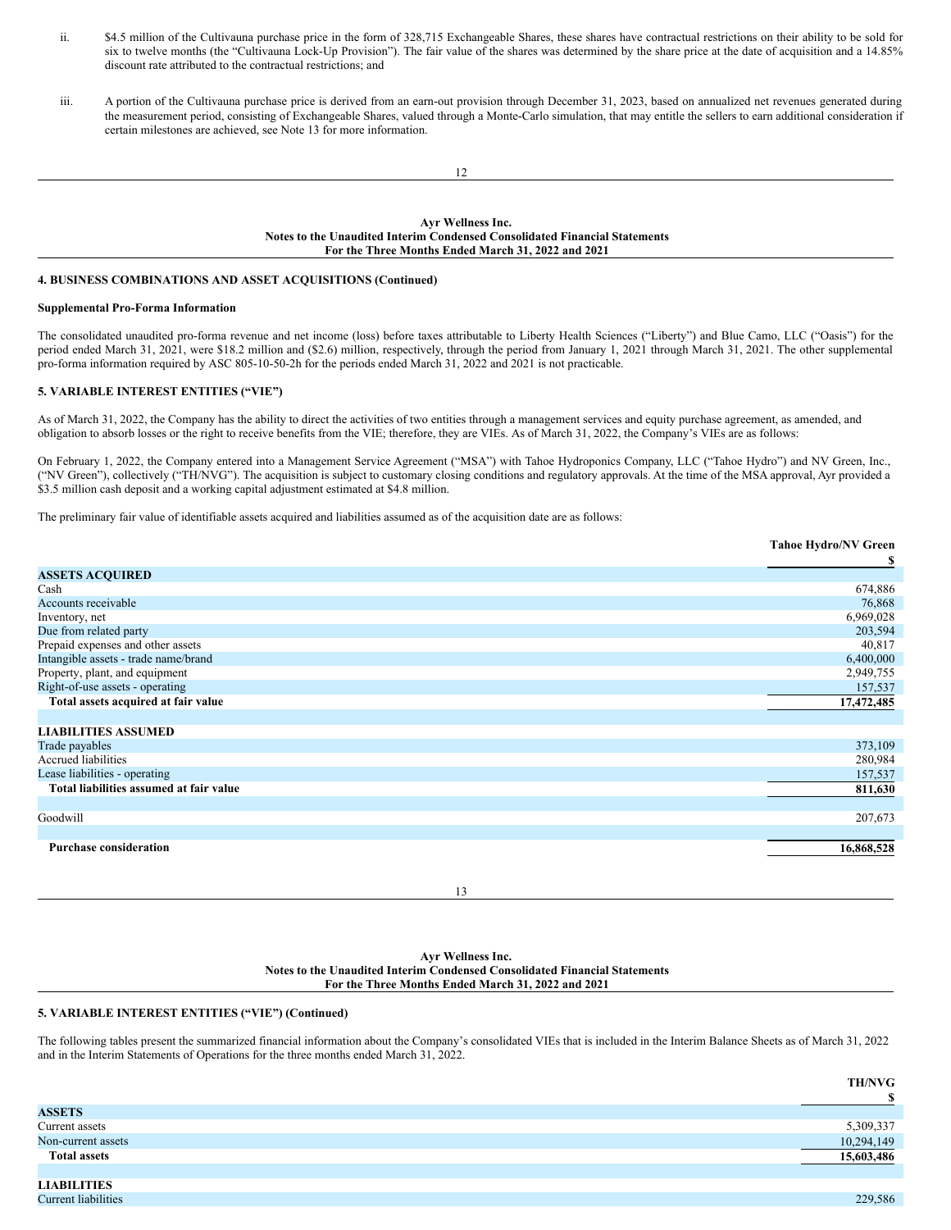- <span id="page-8-0"></span>ii. \$4.5 million of the Cultivauna purchase price in the form of 328,715 Exchangeable Shares, these shares have contractual restrictions on their ability to be sold for six to twelve months (the "Cultivauna Lock-Up Provision"). The fair value of the shares was determined by the share price at the date of acquisition and a 14.85% discount rate attributed to the contractual restrictions; and
- iii. A portion of the Cultivauna purchase price is derived from an earn-out provision through December 31, 2023, based on annualized net revenues generated during the measurement period, consisting of Exchangeable Shares, valued through a Monte-Carlo simulation, that may entitle the sellers to earn additional consideration if certain milestones are achieved, see Note 13 for more information.

### **Ayr Wellness Inc. Notes to the Unaudited Interim Condensed Consolidated Financial Statements For the Three Months Ended March 31, 2022 and 2021**

## **4. BUSINESS COMBINATIONS AND ASSET ACQUISITIONS (Continued)**

## **Supplemental Pro-Forma Information**

The consolidated unaudited pro-forma revenue and net income (loss) before taxes attributable to Liberty Health Sciences ("Liberty") and Blue Camo, LLC ("Oasis") for the period ended March 31, 2021, were \$18.2 million and (\$2.6) million, respectively, through the period from January 1, 2021 through March 31, 2021. The other supplemental pro-forma information required by ASC 805-10-50-2h for the periods ended March 31, 2022 and 2021 is not practicable.

## **5. VARIABLE INTEREST ENTITIES ("VIE")**

As of March 31, 2022, the Company has the ability to direct the activities of two entities through a management services and equity purchase agreement, as amended, and obligation to absorb losses or the right to receive benefits from the VIE; therefore, they are VIEs. As of March 31, 2022, the Company's VIEs are as follows:

On February 1, 2022, the Company entered into a Management Service Agreement ("MSA") with Tahoe Hydroponics Company, LLC ("Tahoe Hydro") and NV Green, Inc., ("NV Green"), collectively ("TH/NVG"). The acquisition is subject to customary closing conditions and regulatory approvals. At the time of the MSA approval, Ayr provided a \$3.5 million cash deposit and a working capital adjustment estimated at \$4.8 million.

The preliminary fair value of identifiable assets acquired and liabilities assumed as of the acquisition date are as follows:

|                                         | <b>Tahoe Hydro/NV Green</b> |
|-----------------------------------------|-----------------------------|
|                                         | S                           |
| <b>ASSETS ACQUIRED</b>                  |                             |
| Cash                                    | 674,886                     |
| Accounts receivable                     | 76,868                      |
| Inventory, net                          | 6,969,028                   |
| Due from related party                  | 203,594                     |
| Prepaid expenses and other assets       | 40,817                      |
| Intangible assets - trade name/brand    | 6,400,000                   |
| Property, plant, and equipment          | 2,949,755                   |
| Right-of-use assets - operating         | 157,537                     |
| Total assets acquired at fair value     | 17,472,485                  |
|                                         |                             |
| <b>LIABILITIES ASSUMED</b>              |                             |
| Trade payables                          | 373,109                     |
| <b>Accrued liabilities</b>              | 280,984                     |
| Lease liabilities - operating           | 157,537                     |
| Total liabilities assumed at fair value | 811,630                     |
|                                         |                             |
| Goodwill                                | 207,673                     |
|                                         |                             |
| <b>Purchase consideration</b>           | 16,868,528                  |
|                                         |                             |

13

### **Ayr Wellness Inc. Notes to the Unaudited Interim Condensed Consolidated Financial Statements For the Three Months Ended March 31, 2022 and 2021**

## **5. VARIABLE INTEREST ENTITIES ("VIE") (Continued)**

The following tables present the summarized financial information about the Company's consolidated VIEs that is included in the Interim Balance Sheets as of March 31, 2022 and in the Interim Statements of Operations for the three months ended March 31, 2022.

|                                                        | <b>TH/NVG</b> |
|--------------------------------------------------------|---------------|
|                                                        | ¢             |
| <b>ASSETS</b>                                          |               |
| Current assets                                         | 5,309,337     |
| Non-current assets                                     | 10,294,149    |
| <b>Total assets</b>                                    | 15,603,486    |
|                                                        |               |
| $\mathbf{v}$ , and $\mathbf{v}$ is the set of $\alpha$ |               |

**LIABILITIES** Current liabilities 229,586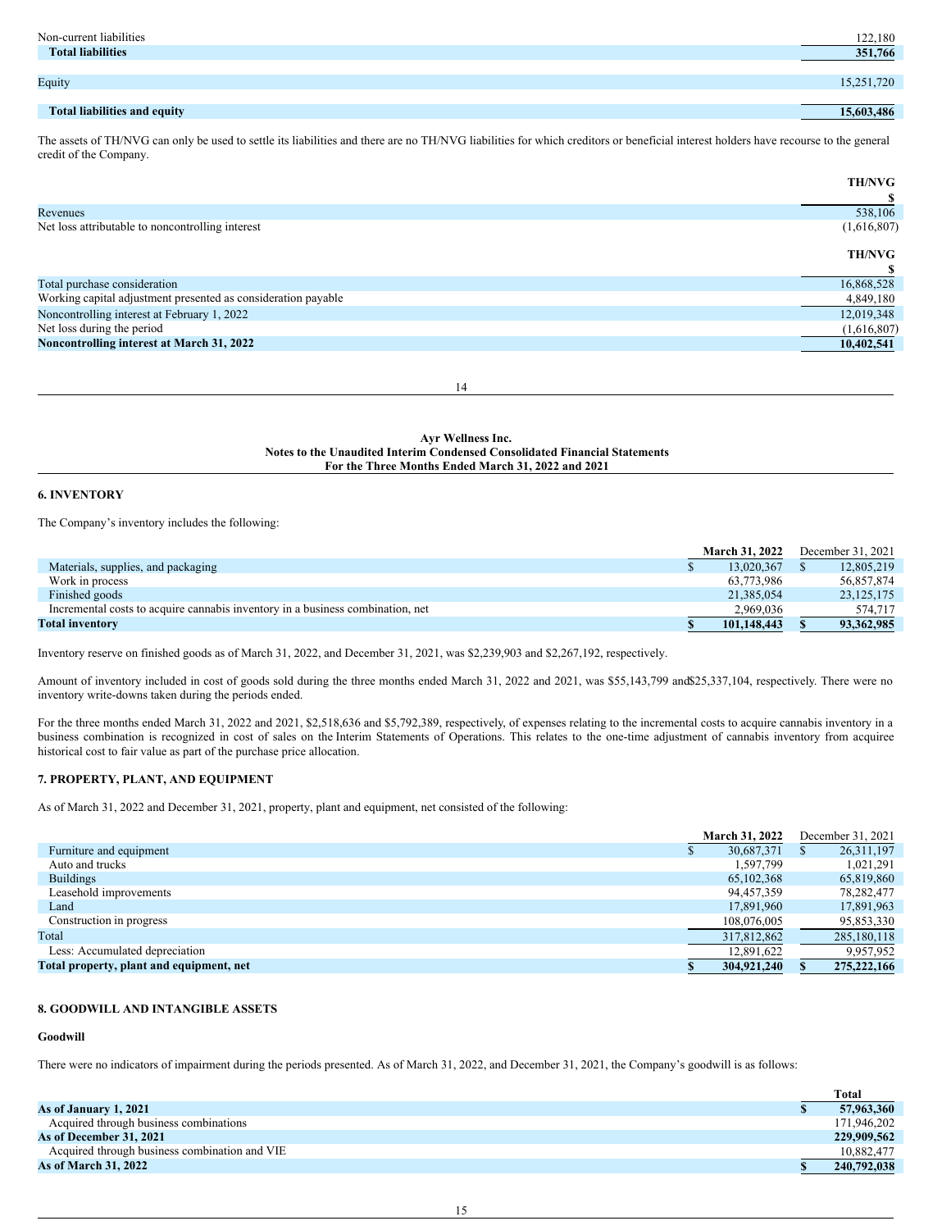| Non-current liabilities      | 122,180    |
|------------------------------|------------|
| <b>Total liabilities</b>     | 351,766    |
|                              |            |
| Equity                       | 15,251,720 |
|                              |            |
| Total liabilities and equity | 15,603,486 |

The assets of TH/NVG can only be used to settle its liabilities and there are no TH/NVG liabilities for which creditors or beneficial interest holders have recourse to the general credit of the Company.

|                                                               | <b>TH/NVG</b> |
|---------------------------------------------------------------|---------------|
|                                                               |               |
| Revenues                                                      | 538,106       |
| Net loss attributable to noncontrolling interest              | (1,616,807)   |
|                                                               | <b>TH/NVG</b> |
|                                                               |               |
| Total purchase consideration                                  | 16,868,528    |
| Working capital adjustment presented as consideration payable | 4,849,180     |
| Noncontrolling interest at February 1, 2022                   | 12,019,348    |
| Net loss during the period                                    | (1,616,807)   |
| Noncontrolling interest at March 31, 2022                     | 10,402,541    |
|                                                               |               |

14

**Ayr Wellness Inc. Notes to the Unaudited Interim Condensed Consolidated Financial Statements For the Three Months Ended March 31, 2022 and 2021**

## **6. INVENTORY**

The Company's inventory includes the following:

|                                                                                | <b>March 31, 2022</b> |  | December 31, 2021 |
|--------------------------------------------------------------------------------|-----------------------|--|-------------------|
| Materials, supplies, and packaging                                             | 13,020,367            |  | 12,805,219        |
| Work in process                                                                | 63.773.986            |  | 56,857,874        |
| Finished goods                                                                 | 21.385.054            |  | 23, 125, 175      |
| Incremental costs to acquire cannabis inventory in a business combination, net | 2.969.036             |  | 574.717           |
| <b>Total inventory</b>                                                         | 101.148.443           |  | 93, 362, 985      |

Inventory reserve on finished goods as of March 31, 2022, and December 31, 2021, was \$2,239,903 and \$2,267,192, respectively.

Amount of inventory included in cost of goods sold during the three months ended March 31, 2022 and 2021, was \$55,143,799 and\$25,337,104, respectively. There were no inventory write-downs taken during the periods ended.

For the three months ended March 31, 2022 and 2021, \$2,518,636 and \$5,792,389, respectively, of expenses relating to the incremental costs to acquire cannabis inventory in a business combination is recognized in cost of sales on the Interim Statements of Operations. This relates to the one-time adjustment of cannabis inventory from acquiree historical cost to fair value as part of the purchase price allocation.

## **7. PROPERTY, PLANT, AND EQUIPMENT**

As of March 31, 2022 and December 31, 2021, property, plant and equipment, net consisted of the following:

|                                          | <b>March 31, 2022</b> | December 31, 2021 |
|------------------------------------------|-----------------------|-------------------|
| Furniture and equipment                  | 30,687,371            | 26, 311, 197      |
| Auto and trucks                          | 1.597.799             | 1.021.291         |
| <b>Buildings</b>                         | 65,102,368            | 65,819,860        |
| Leasehold improvements                   | 94,457,359            | 78,282,477        |
| Land                                     | 17,891,960            | 17,891,963        |
| Construction in progress                 | 108,076,005           | 95,853,330        |
| Total                                    | 317,812,862           | 285,180,118       |
| Less: Accumulated depreciation           | 12,891,622            | 9,957,952         |
| Total property, plant and equipment, net | 304,921,240           | 275, 222, 166     |

# **8. GOODWILL AND INTANGIBLE ASSETS**

# **Goodwill**

There were no indicators of impairment during the periods presented. As of March 31, 2022, and December 31, 2021, the Company's goodwill is as follows:

|                                               | Total       |
|-----------------------------------------------|-------------|
| As of January 1, 2021                         | 57,963,360  |
| Acquired through business combinations        | 171.946.202 |
| As of December 31, 2021                       | 229,909,562 |
| Acquired through business combination and VIE | 10.882,477  |
| <b>As of March 31, 2022</b>                   | 240,792,038 |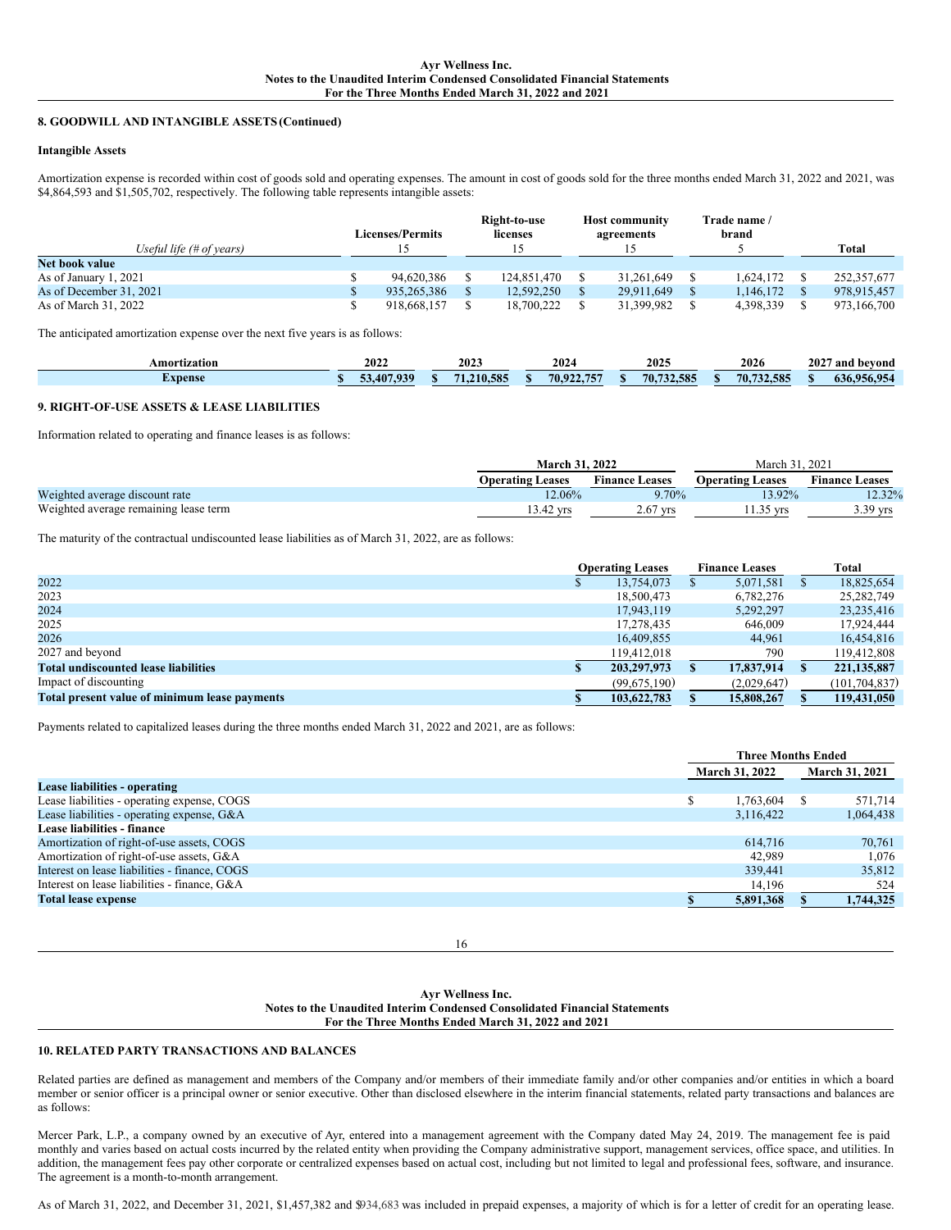### **8. GOODWILL AND INTANGIBLE ASSETS (Continued)**

### **Intangible Assets**

Amortization expense is recorded within cost of goods sold and operating expenses. The amount in cost of goods sold for the three months ended March 31, 2022 and 2021, was \$4,864,593 and \$1,505,702, respectively. The following table represents intangible assets:

|                           | Licenses/Permits_ | Right-to-use<br>licenses | <b>Host community</b><br>agreements | Trade name /<br>brand |             |
|---------------------------|-------------------|--------------------------|-------------------------------------|-----------------------|-------------|
| Useful life $#$ of years) |                   |                          |                                     |                       | Total       |
| Net book value            |                   |                          |                                     |                       |             |
| As of January 1, 2021     | 94,620,386        | 124,851,470              | 31.261.649                          | 1.624.172             | 252,357,677 |
| As of December 31, 2021   | 935.265.386       | 12.592.250               | 29.911.649                          | 1,146,172             | 978,915,457 |
| As of March 31, 2022      | 918.668.157       | 18,700,222               | 31,399,982                          | 4,398,339             | 973,166,700 |

The anticipated amortization expense over the next five years is as follows:

| ،mor<br>*tīzatīon | 2022     | $202^{\circ}$ | 202         | $202^t$        | 2026               | 2027<br>ano<br>bevond |  |
|-------------------|----------|---------------|-------------|----------------|--------------------|-----------------------|--|
| <b>Expense</b>    | 020<br>Æ | $F_{0}$       | ----<br>70. | $F_{0}$<br>70. | $\sim$<br>70.<br>. | $\sim$ $\sim$<br>ሰሥ   |  |

## **9. RIGHT-OF-USE ASSETS & LEASE LIABILITIES**

Information related to operating and finance leases is as follows:

|                                       | <b>March 31, 2022</b>   |                       | March 31.               | . 2021                              |  |
|---------------------------------------|-------------------------|-----------------------|-------------------------|-------------------------------------|--|
|                                       | <b>Operating Leases</b> | <b>Finance Leases</b> | <b>Operating Leases</b> | <b>Finance Leases</b>               |  |
| Weighted average discount rate        | 12.06%                  | $9.70\%$              | $13.92\%$               | 12.32%                              |  |
| Weighted average remaining lease term | 13.42 yrs               | $2.67$ yrs            | 11.35 yrs               | $39 \text{ vrs}$<br>$\cup$ . $\cup$ |  |

The maturity of the contractual undiscounted lease liabilities as of March 31, 2022, are as follows:

|                                               | <b>Operating Leases</b> |              | <b>Finance Leases</b> |             | <b>Total</b>    |
|-----------------------------------------------|-------------------------|--------------|-----------------------|-------------|-----------------|
| 2022                                          |                         | 13,754,073   |                       | 5,071,581   | 18,825,654      |
| 2023                                          |                         | 18,500,473   |                       | 6,782,276   | 25, 282, 749    |
| 2024                                          |                         | 17,943,119   |                       | 5,292,297   | 23, 235, 416    |
| 2025                                          |                         | 17,278,435   |                       | 646,009     | 17.924.444      |
| 2026                                          |                         | 16,409,855   |                       | 44.961      | 16,454,816      |
| 2027 and beyond                               |                         | 119,412,018  |                       | 790         | 119,412,808     |
| <b>Total undiscounted lease liabilities</b>   |                         | 203,297,973  |                       | 17,837,914  | 221, 135, 887   |
| Impact of discounting                         |                         | (99,675,190) |                       | (2,029,647) | (101, 704, 837) |
| Total present value of minimum lease payments |                         | 103,622,783  |                       | 15,808,267  | 119,431,050     |

Payments related to capitalized leases during the three months ended March 31, 2022 and 2021, are as follows:

|                                               | <b>Three Months Ended</b> |   |                |
|-----------------------------------------------|---------------------------|---|----------------|
|                                               | <b>March 31, 2022</b>     |   | March 31, 2021 |
| Lease liabilities - operating                 |                           |   |                |
| Lease liabilities - operating expense, COGS   | 1.763.604                 | S | 571,714        |
| Lease liabilities - operating expense, G&A    | 3.116.422                 |   | 1,064,438      |
| Lease liabilities - finance                   |                           |   |                |
| Amortization of right-of-use assets, COGS     | 614,716                   |   | 70,761         |
| Amortization of right-of-use assets, G&A      | 42,989                    |   | 1.076          |
| Interest on lease liabilities - finance, COGS | 339.441                   |   | 35,812         |
| Interest on lease liabilities - finance, G&A  | 14,196                    |   | 524            |
| <b>Total lease expense</b>                    | 5,891,368                 |   | 1,744,325      |

16

### **Ayr Wellness Inc. Notes to the Unaudited Interim Condensed Consolidated Financial Statements For the Three Months Ended March 31, 2022 and 2021**

## **10. RELATED PARTY TRANSACTIONS AND BALANCES**

Related parties are defined as management and members of the Company and/or members of their immediate family and/or other companies and/or entities in which a board member or senior officer is a principal owner or senior executive. Other than disclosed elsewhere in the interim financial statements, related party transactions and balances are as follows:

Mercer Park, L.P., a company owned by an executive of Ayr, entered into a management agreement with the Company dated May 24, 2019. The management fee is paid monthly and varies based on actual costs incurred by the related entity when providing the Company administrative support, management services, office space, and utilities. In addition, the management fees pay other corporate or centralized expenses based on actual cost, including but not limited to legal and professional fees, software, and insurance. The agreement is a month-to-month arrangement.

As of March 31, 2022, and December 31, 2021, \$1,457,382 and \$934,683 was included in prepaid expenses, a majority of which is for a letter of credit for an operating lease.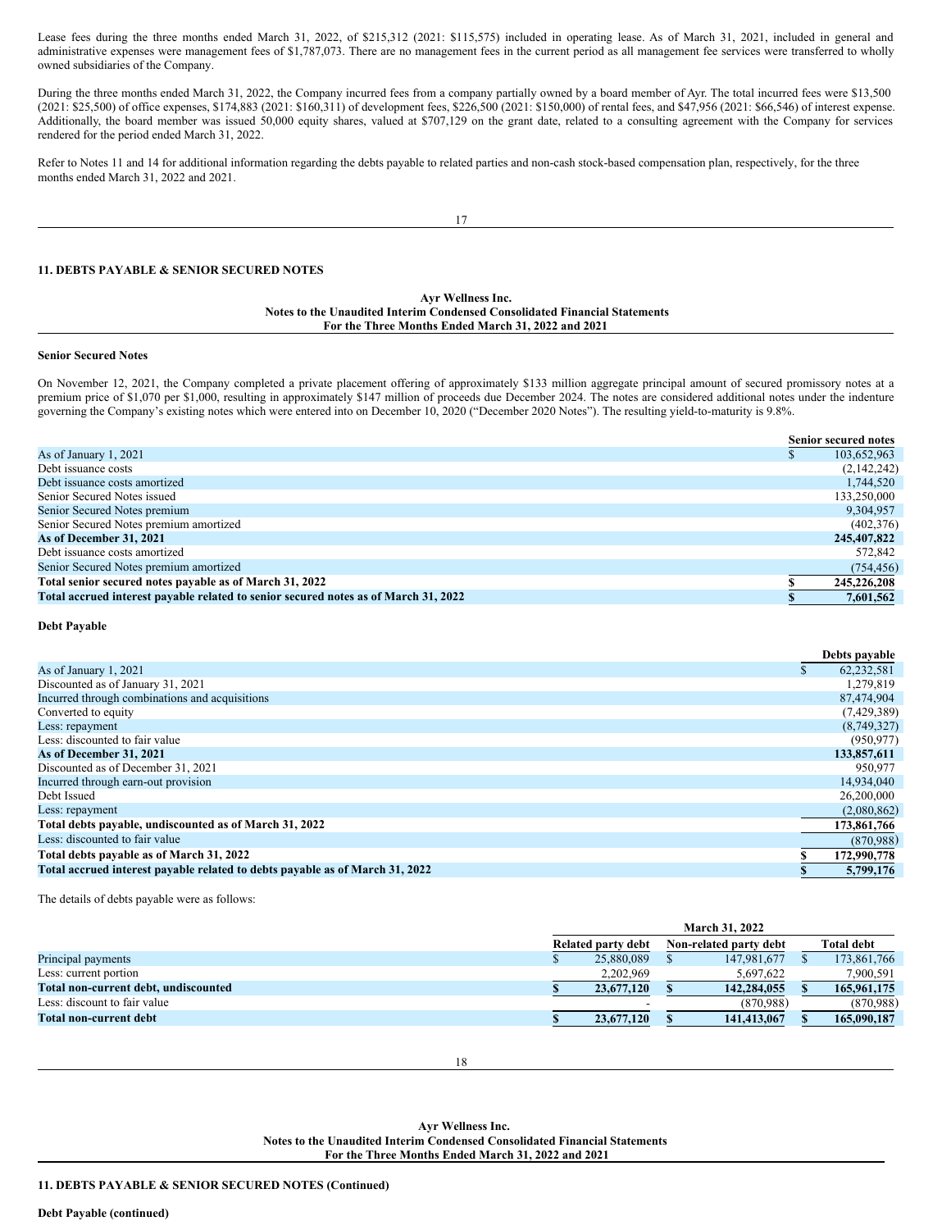Lease fees during the three months ended March 31, 2022, of \$215,312 (2021: \$115,575) included in operating lease. As of March 31, 2021, included in general and administrative expenses were management fees of \$1,787,073. There are no management fees in the current period as all management fee services were transferred to wholly owned subsidiaries of the Company.

During the three months ended March 31, 2022, the Company incurred fees from a company partially owned by a board member of Ayr. The total incurred fees were \$13,500 (2021: \$25,500) of office expenses, \$174,883 (2021: \$160,311) of development fees, \$226,500 (2021: \$150,000) of rental fees, and \$47,956 (2021: \$66,546) of interest expense. Additionally, the board member was issued 50,000 equity shares, valued at \$707,129 on the grant date, related to a consulting agreement with the Company for services rendered for the period ended March 31, 2022.

Refer to Notes 11 and 14 for additional information regarding the debts payable to related parties and non-cash stock-based compensation plan, respectively, for the three months ended March 31, 2022 and 2021.

17

## **11. DEBTS PAYABLE & SENIOR SECURED NOTES**

### **Ayr Wellness Inc. Notes to the Unaudited Interim Condensed Consolidated Financial Statements For the Three Months Ended March 31, 2022 and 2021**

#### **Senior Secured Notes**

On November 12, 2021, the Company completed a private placement offering of approximately \$133 million aggregate principal amount of secured promissory notes at a premium price of \$1,070 per \$1,000, resulting in approximately \$147 million of proceeds due December 2024. The notes are considered additional notes under the indenture governing the Company's existing notes which were entered into on December 10, 2020 ("December 2020 Notes"). The resulting yield-to-maturity is 9.8%.

|                                                                                     | <b>Senior secured notes</b> |
|-------------------------------------------------------------------------------------|-----------------------------|
| As of January 1, 2021                                                               | 103,652,963                 |
| Debt issuance costs                                                                 | (2,142,242)                 |
| Debt issuance costs amortized                                                       | 1,744,520                   |
| Senior Secured Notes issued                                                         | 133,250,000                 |
| Senior Secured Notes premium                                                        | 9,304,957                   |
| Senior Secured Notes premium amortized                                              | (402, 376)                  |
| As of December 31, 2021                                                             | 245,407,822                 |
| Debt issuance costs amortized                                                       | 572,842                     |
| Senior Secured Notes premium amortized                                              | (754, 456)                  |
| Total senior secured notes payable as of March 31, 2022                             | 245,226,208                 |
| Total accrued interest payable related to senior secured notes as of March 31, 2022 | 7.601.562                   |

#### **Debt Payable**

|                                                                              |   | Debts payable |
|------------------------------------------------------------------------------|---|---------------|
| As of January 1, 2021                                                        | ъ | 62,232,581    |
| Discounted as of January 31, 2021                                            |   | 1,279,819     |
| Incurred through combinations and acquisitions                               |   | 87,474,904    |
| Converted to equity                                                          |   | (7,429,389)   |
| Less: repayment                                                              |   | (8,749,327)   |
| Less: discounted to fair value                                               |   | (950, 977)    |
| As of December 31, 2021                                                      |   | 133,857,611   |
| Discounted as of December 31, 2021                                           |   | 950,977       |
| Incurred through earn-out provision                                          |   | 14,934,040    |
| Debt Issued                                                                  |   | 26,200,000    |
| Less: repayment                                                              |   | (2,080,862)   |
| Total debts payable, undiscounted as of March 31, 2022                       |   | 173,861,766   |
| Less: discounted to fair value                                               |   | (870, 988)    |
| Total debts payable as of March 31, 2022                                     |   | 172,990,778   |
| Total accrued interest payable related to debts payable as of March 31, 2022 |   | 5,799,176     |

The details of debts payable were as follows:

|                                      | <b>March 31, 2022</b> |            |  |                        |  |                   |  |
|--------------------------------------|-----------------------|------------|--|------------------------|--|-------------------|--|
|                                      | Related party debt    |            |  | Non-related party debt |  | <b>Total debt</b> |  |
| Principal payments                   |                       | 25,880,089 |  | 147,981,677            |  | 173,861,766       |  |
| Less: current portion                |                       | 2.202.969  |  | 5.697.622              |  | 7,900,591         |  |
| Total non-current debt, undiscounted |                       | 23,677,120 |  | 142,284,055            |  | 165,961,175       |  |
| Less: discount to fair value         |                       |            |  | (870,988)              |  | (870,988)         |  |
| Total non-current debt               |                       | 23.677.120 |  | 141,413,067            |  | 165,090,187       |  |

**Ayr Wellness Inc. Notes to the Unaudited Interim Condensed Consolidated Financial Statements For the Three Months Ended March 31, 2022 and 2021**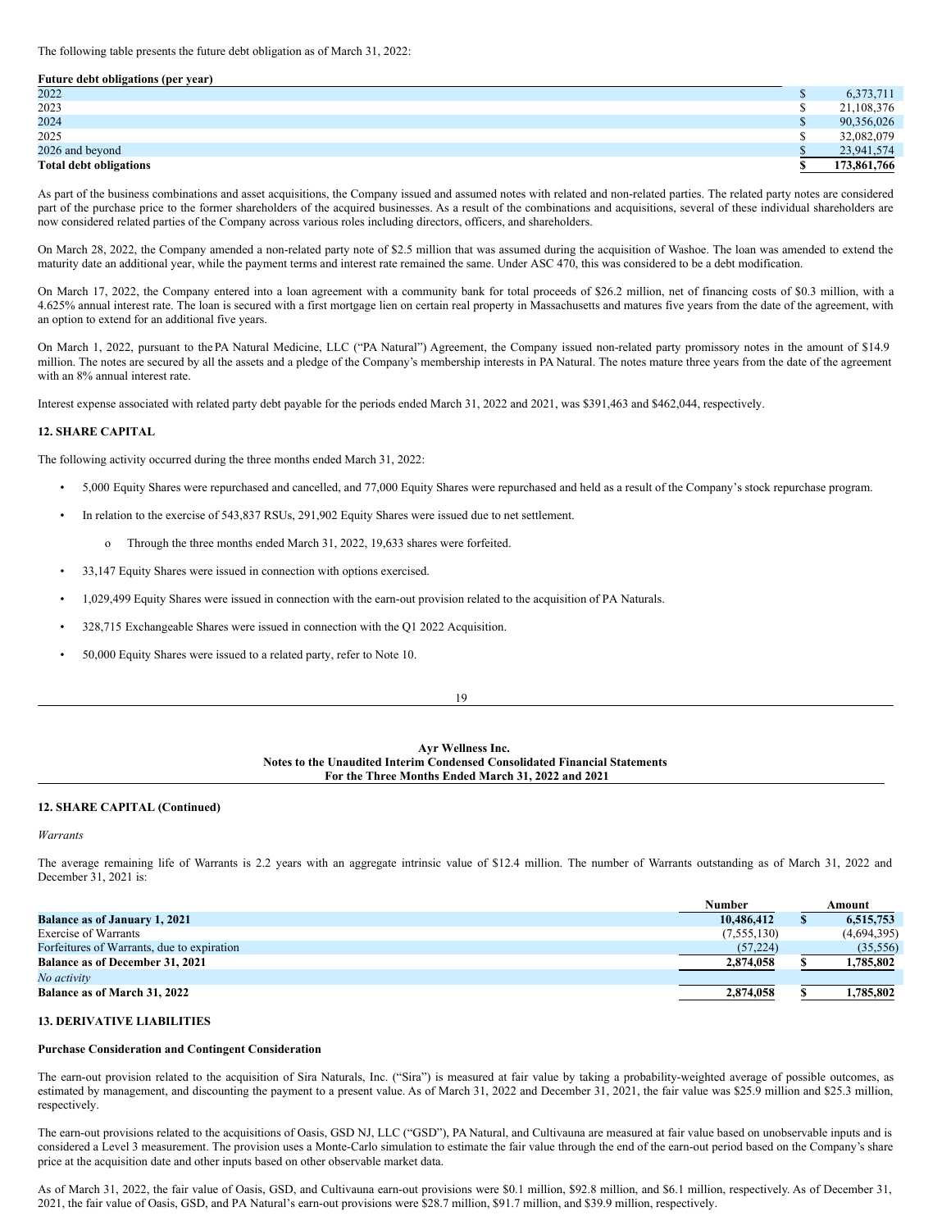The following table presents the future debt obligation as of March 31, 2022:

#### **Future debt obligations (per year)**

| 2022                          | 6,373,711   |
|-------------------------------|-------------|
| 2023                          | 21,108,376  |
| 2024                          | 90,356,026  |
| 2025                          | 32,082,079  |
| 2026 and beyond               | 23,941,574  |
| <b>Total debt obligations</b> | 173,861,766 |

As part of the business combinations and asset acquisitions, the Company issued and assumed notes with related and non-related parties. The related party notes are considered part of the purchase price to the former shareholders of the acquired businesses. As a result of the combinations and acquisitions, several of these individual shareholders are now considered related parties of the Company across various roles including directors, officers, and shareholders.

On March 28, 2022, the Company amended a non-related party note of \$2.5 million that was assumed during the acquisition of Washoe. The loan was amended to extend the maturity date an additional year, while the payment terms and interest rate remained the same. Under ASC 470, this was considered to be a debt modification.

On March 17, 2022, the Company entered into a loan agreement with a community bank for total proceeds of \$26.2 million, net of financing costs of \$0.3 million, with a 4.625% annual interest rate. The loan is secured with a first mortgage lien on certain real property in Massachusetts and matures five years from the date of the agreement, with an option to extend for an additional five years.

On March 1, 2022, pursuant to the PA Natural Medicine, LLC ("PA Natural") Agreement, the Company issued non-related party promissory notes in the amount of \$14.9 million. The notes are secured by all the assets and a pledge of the Company's membership interests in PA Natural. The notes mature three years from the date of the agreement with an 8% annual interest rate.

Interest expense associated with related party debt payable for the periods ended March 31, 2022 and 2021, was \$391,463 and \$462,044, respectively.

### **12. SHARE CAPITAL**

The following activity occurred during the three months ended March 31, 2022:

- 5,000 Equity Shares were repurchased and cancelled, and 77,000 Equity Shares were repurchased and held as a result of the Company's stock repurchase program.
- In relation to the exercise of 543,837 RSUs, 291,902 Equity Shares were issued due to net settlement.
	- o Through the three months ended March 31, 2022, 19,633 shares were forfeited.
- 33,147 Equity Shares were issued in connection with options exercised.
- 1,029,499 Equity Shares were issued in connection with the earn-out provision related to the acquisition of PA Naturals.
- 328,715 Exchangeable Shares were issued in connection with the Q1 2022 Acquisition.
- 50,000 Equity Shares were issued to a related party, refer to Note 10.

| ٦<br>۰.<br>۰.<br>۰,<br>٧ |
|--------------------------|

### **Ayr Wellness Inc. Notes to the Unaudited Interim Condensed Consolidated Financial Statements For the Three Months Ended March 31, 2022 and 2021**

### **12. SHARE CAPITAL (Continued)**

#### *Warrants*

The average remaining life of Warrants is 2.2 years with an aggregate intrinsic value of \$12.4 million. The number of Warrants outstanding as of March 31, 2022 and December 31, 2021 is:

|                                            | <b>Number</b> | Amount      |
|--------------------------------------------|---------------|-------------|
| <b>Balance as of January 1, 2021</b>       | 10,486,412    | 6.515.753   |
| <b>Exercise of Warrants</b>                | (7,555,130)   | (4,694,395) |
| Forfeitures of Warrants, due to expiration | (57, 224)     | (35, 556)   |
| Balance as of December 31, 2021            | 2,874,058     | 1,785,802   |
| No activity                                |               |             |
| Balance as of March 31, 2022               | 2,874,058     | 1.785.802   |

### **13. DERIVATIVE LIABILITIES**

### **Purchase Consideration and Contingent Consideration**

The earn-out provision related to the acquisition of Sira Naturals, Inc. ("Sira") is measured at fair value by taking a probability-weighted average of possible outcomes, as estimated by management, and discounting the payment to a present value. As of March 31, 2022 and December 31, 2021, the fair value was \$25.9 million and \$25.3 million, respectively.

The earn-out provisions related to the acquisitions of Oasis, GSD NJ, LLC ("GSD"), PA Natural, and Cultivauna are measured at fair value based on unobservable inputs and is considered a Level 3 measurement. The provision uses a Monte-Carlo simulation to estimate the fair value through the end of the earn-out period based on the Company's share price at the acquisition date and other inputs based on other observable market data.

As of March 31, 2022, the fair value of Oasis, GSD, and Cultivauna earn-out provisions were \$0.1 million, \$92.8 million, and \$6.1 million, respectively. As of December 31, 2021, the fair value of Oasis, GSD, and PA Natural's earn-out provisions were \$28.7 million, \$91.7 million, and \$39.9 million, respectively.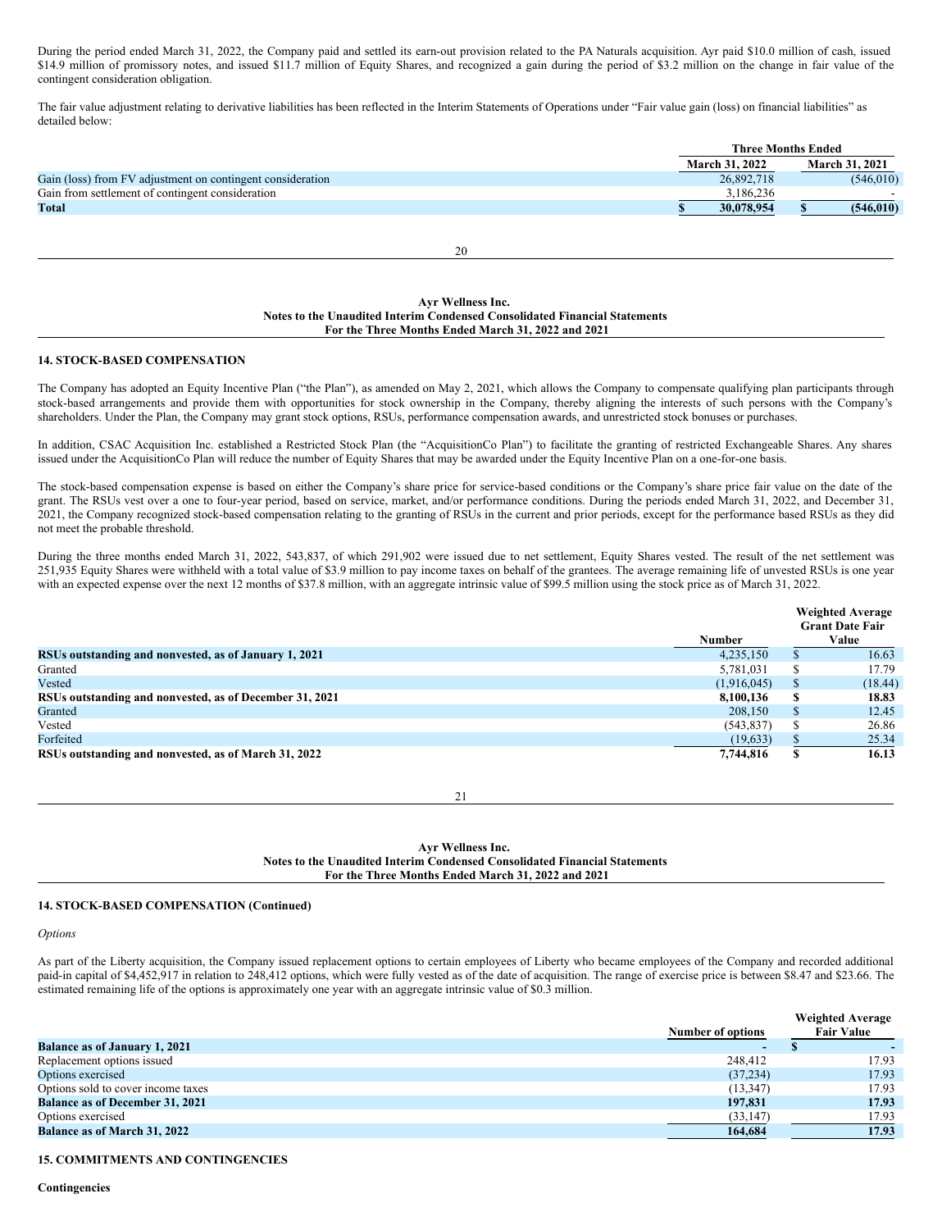During the period ended March 31, 2022, the Company paid and settled its earn-out provision related to the PA Naturals acquisition. Ayr paid \$10.0 million of cash, issued \$14.9 million of promissory notes, and issued \$11.7 million of Equity Shares, and recognized a gain during the period of \$3.2 million on the change in fair value of the contingent consideration obligation.

The fair value adjustment relating to derivative liabilities has been reflected in the Interim Statements of Operations under "Fair value gain (loss) on financial liabilities" as detailed below:

|                                                            |                       | <b>Three Months Ended</b> |
|------------------------------------------------------------|-----------------------|---------------------------|
|                                                            | <b>March 31, 2022</b> | <b>March 31, 2021</b>     |
| Gain (loss) from FV adjustment on contingent consideration | 26,892,718            | (546, 010)                |
| Gain from settlement of contingent consideration           | 3.186.236             |                           |
| Total                                                      | 30.078.954            | (546.010)                 |
|                                                            |                       |                           |

20

### **Ayr Wellness Inc. Notes to the Unaudited Interim Condensed Consolidated Financial Statements For the Three Months Ended March 31, 2022 and 2021**

## **14. STOCK-BASED COMPENSATION**

The Company has adopted an Equity Incentive Plan ("the Plan"), as amended on May 2, 2021, which allows the Company to compensate qualifying plan participants through stock-based arrangements and provide them with opportunities for stock ownership in the Company, thereby aligning the interests of such persons with the Company's shareholders. Under the Plan, the Company may grant stock options, RSUs, performance compensation awards, and unrestricted stock bonuses or purchases.

In addition, CSAC Acquisition Inc. established a Restricted Stock Plan (the "AcquisitionCo Plan") to facilitate the granting of restricted Exchangeable Shares. Any shares issued under the AcquisitionCo Plan will reduce the number of Equity Shares that may be awarded under the Equity Incentive Plan on a one-for-one basis.

The stock-based compensation expense is based on either the Company's share price for service-based conditions or the Company's share price fair value on the date of the grant. The RSUs vest over a one to four-year period, based on service, market, and/or performance conditions. During the periods ended March 31, 2022, and December 31, 2021, the Company recognized stock-based compensation relating to the granting of RSUs in the current and prior periods, except for the performance based RSUs as they did not meet the probable threshold.

During the three months ended March 31, 2022, 543,837, of which 291,902 were issued due to net settlement, Equity Shares vested. The result of the net settlement was 251,935 Equity Shares were withheld with a total value of \$3.9 million to pay income taxes on behalf of the grantees. The average remaining life of unvested RSUs is one year with an expected expense over the next 12 months of \$37.8 million, with an aggregate intrinsic value of \$99.5 million using the stock price as of March 31, 2022.

|                                                         |               |               | <b>Weighted Average</b><br><b>Grant Date Fair</b> |
|---------------------------------------------------------|---------------|---------------|---------------------------------------------------|
|                                                         | <b>Number</b> |               | Value                                             |
| RSUs outstanding and nonvested, as of January 1, 2021   | 4.235.150     | Ъ.            | 16.63                                             |
| Granted                                                 | 5,781,031     | S.            | 17.79                                             |
| Vested                                                  | (1,916,045)   | <sup>\$</sup> | (18.44)                                           |
| RSUs outstanding and nonvested, as of December 31, 2021 | 8,100,136     | S             | 18.83                                             |
| Granted                                                 | 208,150       | <sup>\$</sup> | 12.45                                             |
| Vested                                                  | (543, 837)    | S             | 26.86                                             |
| Forfeited                                               | (19, 633)     |               | 25.34                                             |
| RSUs outstanding and nonvested, as of March 31, 2022    | 7,744,816     | S             | 16.13                                             |

21

### **Ayr Wellness Inc. Notes to the Unaudited Interim Condensed Consolidated Financial Statements For the Three Months Ended March 31, 2022 and 2021**

## **14. STOCK-BASED COMPENSATION (Continued)**

*Options*

As part of the Liberty acquisition, the Company issued replacement options to certain employees of Liberty who became employees of the Company and recorded additional paid-in capital of \$4,452,917 in relation to 248,412 options, which were fully vested as of the date of acquisition. The range of exercise price is between \$8.47 and \$23.66. The estimated remaining life of the options is approximately one year with an aggregate intrinsic value of \$0.3 million.

|                                        | <b>Number of options</b> | <b>Weighted Average</b><br><b>Fair Value</b> |
|----------------------------------------|--------------------------|----------------------------------------------|
| <b>Balance as of January 1, 2021</b>   | $\sim$                   |                                              |
| Replacement options issued             | 248,412                  | 17.93                                        |
| Options exercised                      | (37,234)                 | 17.93                                        |
| Options sold to cover income taxes     | (13, 347)                | 17.93                                        |
| <b>Balance as of December 31, 2021</b> | 197,831                  | 17.93                                        |
| Options exercised                      | (33, 147)                | 17.93                                        |
| <b>Balance as of March 31, 2022</b>    | 164,684                  | 17.93                                        |

## **15. COMMITMENTS AND CONTINGENCIES**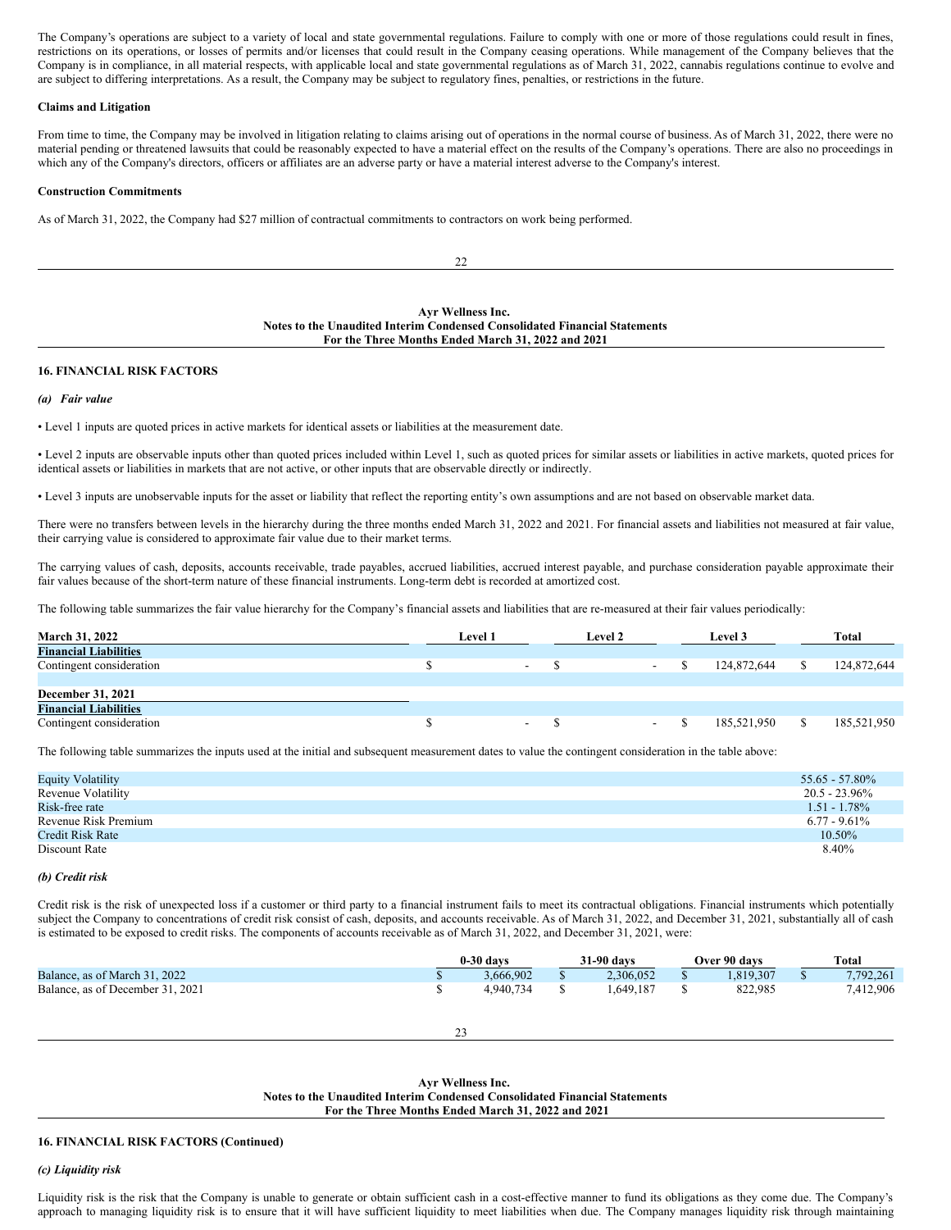The Company's operations are subject to a variety of local and state governmental regulations. Failure to comply with one or more of those regulations could result in fines, restrictions on its operations, or losses of permits and/or licenses that could result in the Company ceasing operations. While management of the Company believes that the Company is in compliance, in all material respects, with applicable local and state governmental regulations as of March 31, 2022, cannabis regulations continue to evolve and are subject to differing interpretations. As a result, the Company may be subject to regulatory fines, penalties, or restrictions in the future.

### **Claims and Litigation**

From time to time, the Company may be involved in litigation relating to claims arising out of operations in the normal course of business. As of March 31, 2022, there were no material pending or threatened lawsuits that could be reasonably expected to have a material effect on the results of the Company's operations. There are also no proceedings in which any of the Company's directors, officers or affiliates are an adverse party or have a material interest adverse to the Company's interest.

#### **Construction Commitments**

As of March 31, 2022, the Company had \$27 million of contractual commitments to contractors on work being performed.

 $22$ 

#### **Ayr Wellness Inc. Notes to the Unaudited Interim Condensed Consolidated Financial Statements For the Three Months Ended March 31, 2022 and 2021**

#### **16. FINANCIAL RISK FACTORS**

#### *(a) Fair value*

• Level 1 inputs are quoted prices in active markets for identical assets or liabilities at the measurement date.

• Level 2 inputs are observable inputs other than quoted prices included within Level 1, such as quoted prices for similar assets or liabilities in active markets, quoted prices for identical assets or liabilities in markets that are not active, or other inputs that are observable directly or indirectly.

• Level 3 inputs are unobservable inputs for the asset or liability that reflect the reporting entity's own assumptions and are not based on observable market data.

There were no transfers between levels in the hierarchy during the three months ended March 31, 2022 and 2021. For financial assets and liabilities not measured at fair value, their carrying value is considered to approximate fair value due to their market terms.

The carrying values of cash, deposits, accounts receivable, trade payables, accrued liabilities, accrued interest payable, and purchase consideration payable approximate their fair values because of the short-term nature of these financial instruments. Long-term debt is recorded at amortized cost.

The following table summarizes the fair value hierarchy for the Company's financial assets and liabilities that are re-measured at their fair values periodically:

| <b>March 31, 2022</b>        | <b>Level 1</b> |        | <b>Level 2</b> |        | Level 3     |   | <b>Total</b> |  |
|------------------------------|----------------|--------|----------------|--------|-------------|---|--------------|--|
| <b>Financial Liabilities</b> |                |        |                |        |             |   |              |  |
| Contingent consideration     |                | $\sim$ |                | $\sim$ | 124,872,644 |   | 124,872,644  |  |
|                              |                |        |                |        |             |   |              |  |
| <b>December 31, 2021</b>     |                |        |                |        |             |   |              |  |
| <b>Financial Liabilities</b> |                |        |                |        |             |   |              |  |
| Contingent consideration     |                | $\sim$ |                | $\sim$ | 185,521,950 | S | 185,521,950  |  |

The following table summarizes the inputs used at the initial and subsequent measurement dates to value the contingent consideration in the table above:

| <b>Equity Volatility</b> | $55.65 - 57.80\%$ |
|--------------------------|-------------------|
| Revenue Volatility       | $20.5 - 23.96\%$  |
| Risk-free rate           | $1.51 - 1.78\%$   |
| Revenue Risk Premium     | $6.77 - 9.61\%$   |
| Credit Risk Rate         | $10.50\%$         |
| Discount Rate            | 8.40%             |

#### *(b) Credit risk*

Credit risk is the risk of unexpected loss if a customer or third party to a financial instrument fails to meet its contractual obligations. Financial instruments which potentially subject the Company to concentrations of credit risk consist of cash, deposits, and accounts receivable. As of March 31, 2022, and December 31, 2021, substantially all of cash is estimated to be exposed to credit risks. The components of accounts receivable as of March 31, 2022, and December 31, 2021, were:

|                                  | 31-90 days<br>$0-30$ days<br>Over 90 days |  |           |  | <b>Total</b> |           |
|----------------------------------|-------------------------------------------|--|-----------|--|--------------|-----------|
| Balance, as of March 31, 2022    | 3.666.902                                 |  | 2.306.052 |  | .819.307     | 7.792.261 |
| Balance, as of December 31, 2021 | 4.940.734                                 |  | .649.187  |  | 822.985      | 7,412,906 |

23

**Ayr Wellness Inc. Notes to the Unaudited Interim Condensed Consolidated Financial Statements For the Three Months Ended March 31, 2022 and 2021**

## **16. FINANCIAL RISK FACTORS (Continued)**

## *(c) Liquidity risk*

Liquidity risk is the risk that the Company is unable to generate or obtain sufficient cash in a cost-effective manner to fund its obligations as they come due. The Company's approach to managing liquidity risk is to ensure that it will have sufficient liquidity to meet liabilities when due. The Company manages liquidity risk through maintaining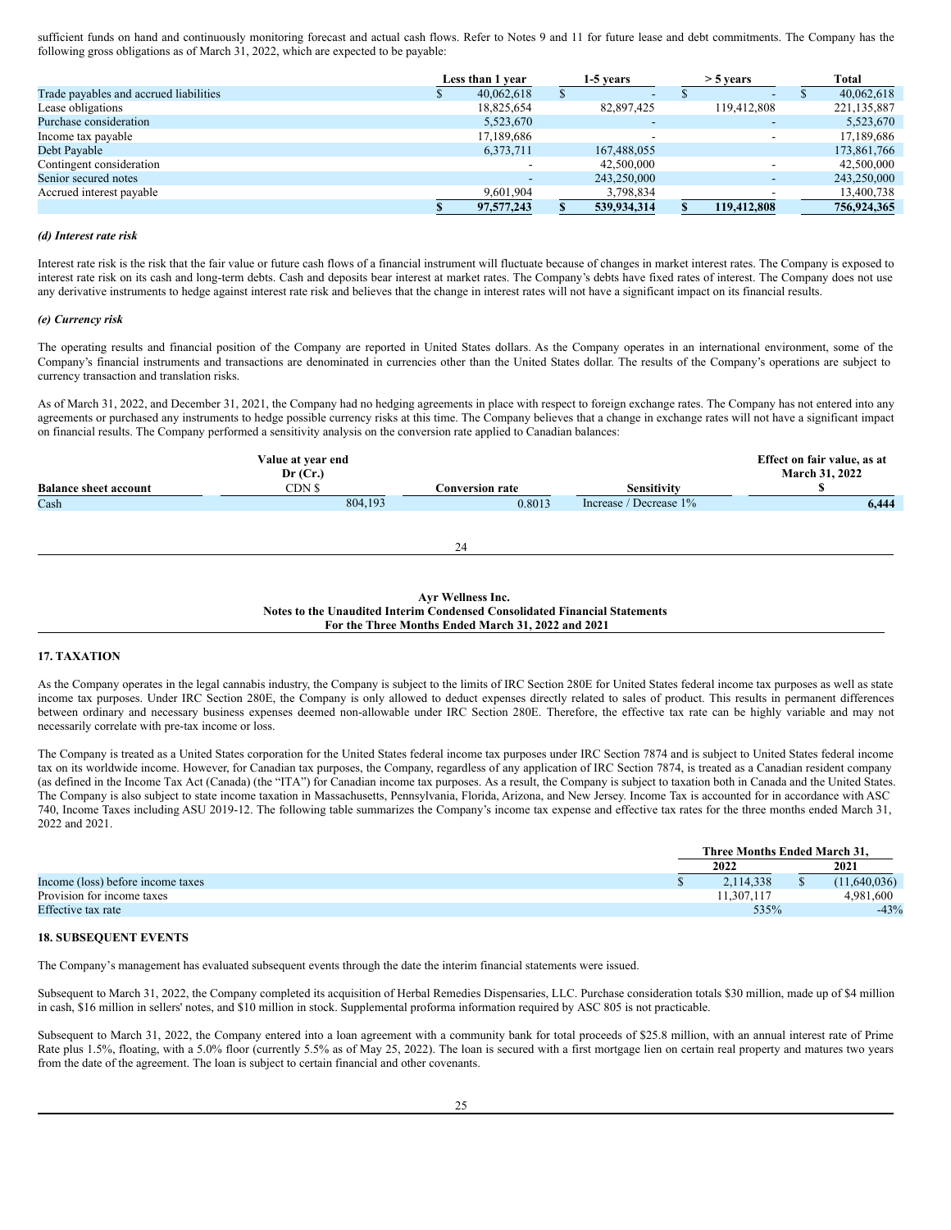sufficient funds on hand and continuously monitoring forecast and actual cash flows. Refer to Notes 9 and 11 for future lease and debt commitments. The Company has the following gross obligations as of March 31, 2022, which are expected to be payable:

|                                        | Less than 1 year |                          |  |             |  |             |             |  | 1-5 years |  | $>$ 5 years |  | <b>Total</b> |
|----------------------------------------|------------------|--------------------------|--|-------------|--|-------------|-------------|--|-----------|--|-------------|--|--------------|
| Trade payables and accrued liabilities |                  | 40,062,618               |  | -           |  | $\sim$      | 40,062,618  |  |           |  |             |  |              |
| Lease obligations                      |                  | 18,825,654               |  | 82,897,425  |  | 119,412,808 | 221,135,887 |  |           |  |             |  |              |
| Purchase consideration                 |                  | 5,523,670                |  |             |  |             | 5,523,670   |  |           |  |             |  |              |
| Income tax payable                     |                  | 17,189,686               |  | -           |  |             | 17,189,686  |  |           |  |             |  |              |
| Debt Payable                           |                  | 6,373,711                |  | 167,488,055 |  |             | 173,861,766 |  |           |  |             |  |              |
| Contingent consideration               |                  |                          |  | 42,500,000  |  |             | 42,500,000  |  |           |  |             |  |              |
| Senior secured notes                   |                  | $\overline{\phantom{0}}$ |  | 243,250,000 |  |             | 243,250,000 |  |           |  |             |  |              |
| Accrued interest payable               |                  | 9,601,904                |  | 3,798,834   |  |             | 13,400,738  |  |           |  |             |  |              |
|                                        |                  | 97,577,243               |  | 539,934,314 |  | 119,412,808 | 756,924,365 |  |           |  |             |  |              |

### *(d) Interest rate risk*

Interest rate risk is the risk that the fair value or future cash flows of a financial instrument will fluctuate because of changes in market interest rates. The Company is exposed to interest rate risk on its cash and long-term debts. Cash and deposits bear interest at market rates. The Company's debts have fixed rates of interest. The Company does not use any derivative instruments to hedge against interest rate risk and believes that the change in interest rates will not have a significant impact on its financial results.

### *(e) Currency risk*

The operating results and financial position of the Company are reported in United States dollars. As the Company operates in an international environment, some of the Company's financial instruments and transactions are denominated in currencies other than the United States dollar. The results of the Company's operations are subject to currency transaction and translation risks.

As of March 31, 2022, and December 31, 2021, the Company had no hedging agreements in place with respect to foreign exchange rates. The Company has not entered into any agreements or purchased any instruments to hedge possible currency risks at this time. The Company believes that a change in exchange rates will not have a significant impact on financial results. The Company performed a sensitivity analysis on the conversion rate applied to Canadian balances:

| <b>March 31, 2022</b> |
|-----------------------|
|                       |
| 6,444                 |
|                       |
|                       |
|                       |
|                       |

### **Ayr Wellness Inc. Notes to the Unaudited Interim Condensed Consolidated Financial Statements For the Three Months Ended March 31, 2022 and 2021**

## **17. TAXATION**

As the Company operates in the legal cannabis industry, the Company is subject to the limits of IRC Section 280E for United States federal income tax purposes as well as state income tax purposes. Under IRC Section 280E, the Company is only allowed to deduct expenses directly related to sales of product. This results in permanent differences between ordinary and necessary business expenses deemed non-allowable under IRC Section 280E. Therefore, the effective tax rate can be highly variable and may not necessarily correlate with pre-tax income or loss.

The Company is treated as a United States corporation for the United States federal income tax purposes under IRC Section 7874 and is subject to United States federal income tax on its worldwide income. However, for Canadian tax purposes, the Company, regardless of any application of IRC Section 7874, is treated as a Canadian resident company (as defined in the Income Tax Act (Canada) (the "ITA") for Canadian income tax purposes. As a result, the Company is subject to taxation both in Canada and the United States. The Company is also subject to state income taxation in Massachusetts, Pennsylvania, Florida, Arizona, and New Jersey. Income Tax is accounted for in accordance with ASC 740, Income Taxes including ASU 2019-12. The following table summarizes the Company's income tax expense and effective tax rates for the three months ended March 31, 2022 and 2021.

|                                   | Three Months Ended March 31. |  |              |  |
|-----------------------------------|------------------------------|--|--------------|--|
|                                   | 2022                         |  | 2021         |  |
| Income (loss) before income taxes | 2.114.338                    |  | (11.640.036) |  |
| Provision for income taxes        | 1.307.117                    |  | 4.981.600    |  |
| Effective tax rate                | 535%                         |  | $-43%$       |  |

## **18. SUBSEQUENT EVENTS**

The Company's management has evaluated subsequent events through the date the interim financial statements were issued.

Subsequent to March 31, 2022, the Company completed its acquisition of Herbal Remedies Dispensaries, LLC. Purchase consideration totals \$30 million, made up of \$4 million in cash, \$16 million in sellers' notes, and \$10 million in stock. Supplemental proforma information required by ASC 805 is not practicable.

Subsequent to March 31, 2022, the Company entered into a loan agreement with a community bank for total proceeds of \$25.8 million, with an annual interest rate of Prime Rate plus 1.5%, floating, with a 5.0% floor (currently 5.5% as of May 25, 2022). The loan is secured with a first mortgage lien on certain real property and matures two years from the date of the agreement. The loan is subject to certain financial and other covenants.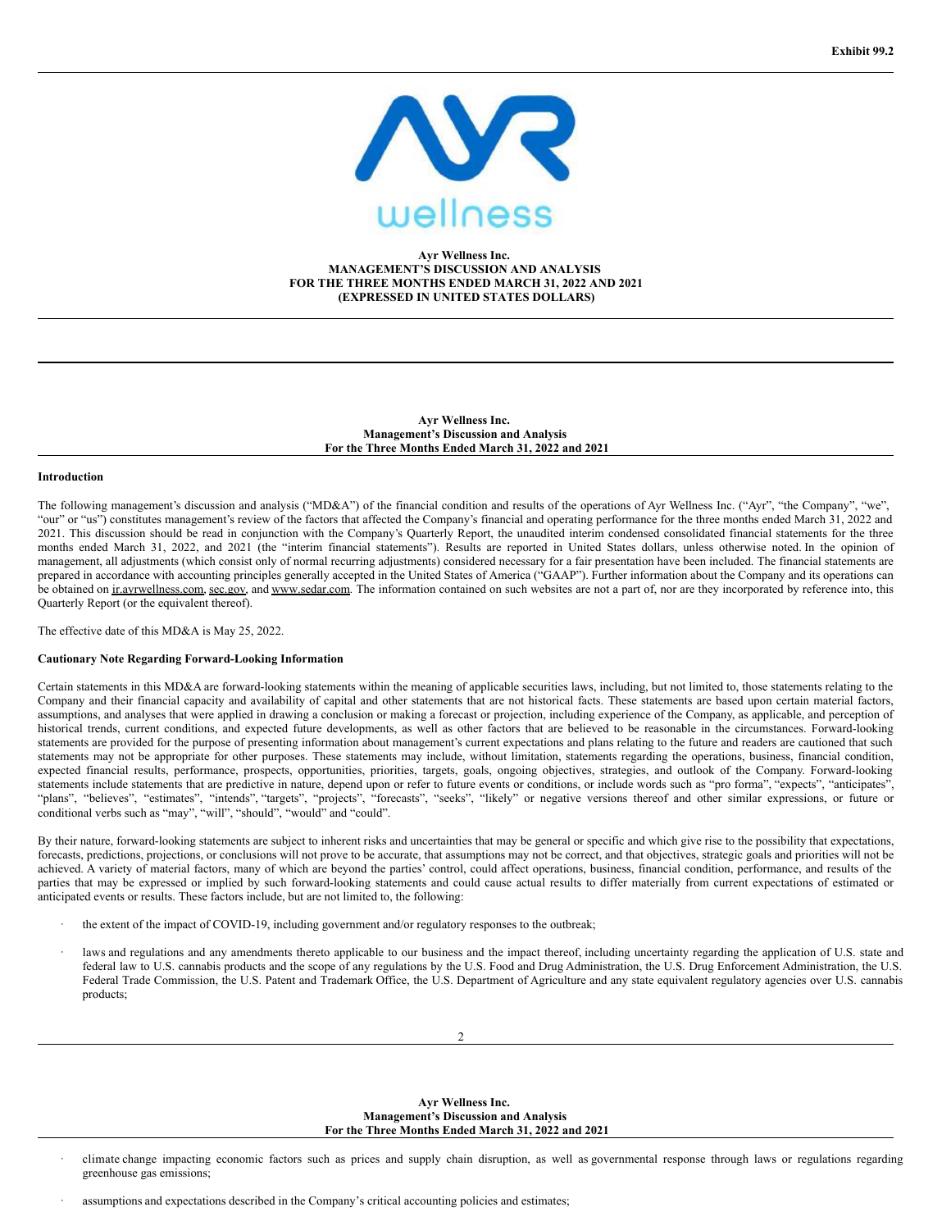

## **Ayr Wellness Inc. MANAGEMENT'S DISCUSSION AND ANALYSIS FOR THE THREE MONTHS ENDED MARCH 31, 2022 AND 2021 (EXPRESSED IN UNITED STATES DOLLARS)**

**Ayr Wellness Inc. Management's Discussion and Analysis For the Three Months Ended March 31, 2022 and 2021**

## **Introduction**

The following management's discussion and analysis ("MD&A") of the financial condition and results of the operations of Ayr Wellness Inc. ("Ayr", "the Company", "we", "our" or "us") constitutes management's review of the factors that affected the Company's financial and operating performance for the three months ended March 31, 2022 and 2021. This discussion should be read in conjunction with the Company's Quarterly Report, the unaudited interim condensed consolidated financial statements for the three months ended March 31, 2022, and 2021 (the "interim financial statements"). Results are reported in United States dollars, unless otherwise noted. In the opinion of management, all adjustments (which consist only of normal recurring adjustments) considered necessary for a fair presentation have been included. The financial statements are prepared in accordance with accounting principles generally accepted in the United States of America ("GAAP"). Further information about the Company and its operations can be obtained on ir.ayrwellness.com, sec.gov, and www.sedar.com. The information contained on such websites are not a part of, nor are they incorporated by reference into, this Quarterly Report (or the equivalent thereof).

The effective date of this MD&A is May 25, 2022.

### **Cautionary Note Regarding Forward-Looking Information**

Certain statements in this MD&A are forward-looking statements within the meaning of applicable securities laws, including, but not limited to, those statements relating to the Company and their financial capacity and availability of capital and other statements that are not historical facts. These statements are based upon certain material factors, assumptions, and analyses that were applied in drawing a conclusion or making a forecast or projection, including experience of the Company, as applicable, and perception of historical trends, current conditions, and expected future developments, as well as other factors that are believed to be reasonable in the circumstances. Forward-looking statements are provided for the purpose of presenting information about management's current expectations and plans relating to the future and readers are cautioned that such statements may not be appropriate for other purposes. These statements may include, without limitation, statements regarding the operations, business, financial condition, expected financial results, performance, prospects, opportunities, priorities, targets, goals, ongoing objectives, strategies, and outlook of the Company. Forward-looking statements include statements that are predictive in nature, depend upon or refer to future events or conditions, or include words such as "pro forma", "expects", "anticipates", "plans", "believes", "estimates", "intends", "targets", "projects", "forecasts", "seeks", "likely" or negative versions thereof and other similar expressions, or future or conditional verbs such as "may", "will", "should", "would" and "could".

By their nature, forward-looking statements are subject to inherent risks and uncertainties that may be general or specific and which give rise to the possibility that expectations, forecasts, predictions, projections, or conclusions will not prove to be accurate, that assumptions may not be correct, and that objectives, strategic goals and priorities will not be achieved. A variety of material factors, many of which are beyond the parties' control, could affect operations, business, financial condition, performance, and results of the parties that may be expressed or implied by such forward-looking statements and could cause actual results to differ materially from current expectations of estimated or anticipated events or results. These factors include, but are not limited to, the following:

- the extent of the impact of COVID-19, including government and/or regulatory responses to the outbreak;
- laws and regulations and any amendments thereto applicable to our business and the impact thereof, including uncertainty regarding the application of U.S. state and federal law to U.S. cannabis products and the scope of any regulations by the U.S. Food and Drug Administration, the U.S. Drug Enforcement Administration, the U.S. Federal Trade Commission, the U.S. Patent and Trademark Office, the U.S. Department of Agriculture and any state equivalent regulatory agencies over U.S. cannabis products;

**Ayr Wellness Inc. Management's Discussion and Analysis For the Three Months Ended March 31, 2022 and 2021**

· climate change impacting economic factors such as prices and supply chain disruption, as well as governmental response through laws or regulations regarding greenhouse gas emissions;

assumptions and expectations described in the Company's critical accounting policies and estimates;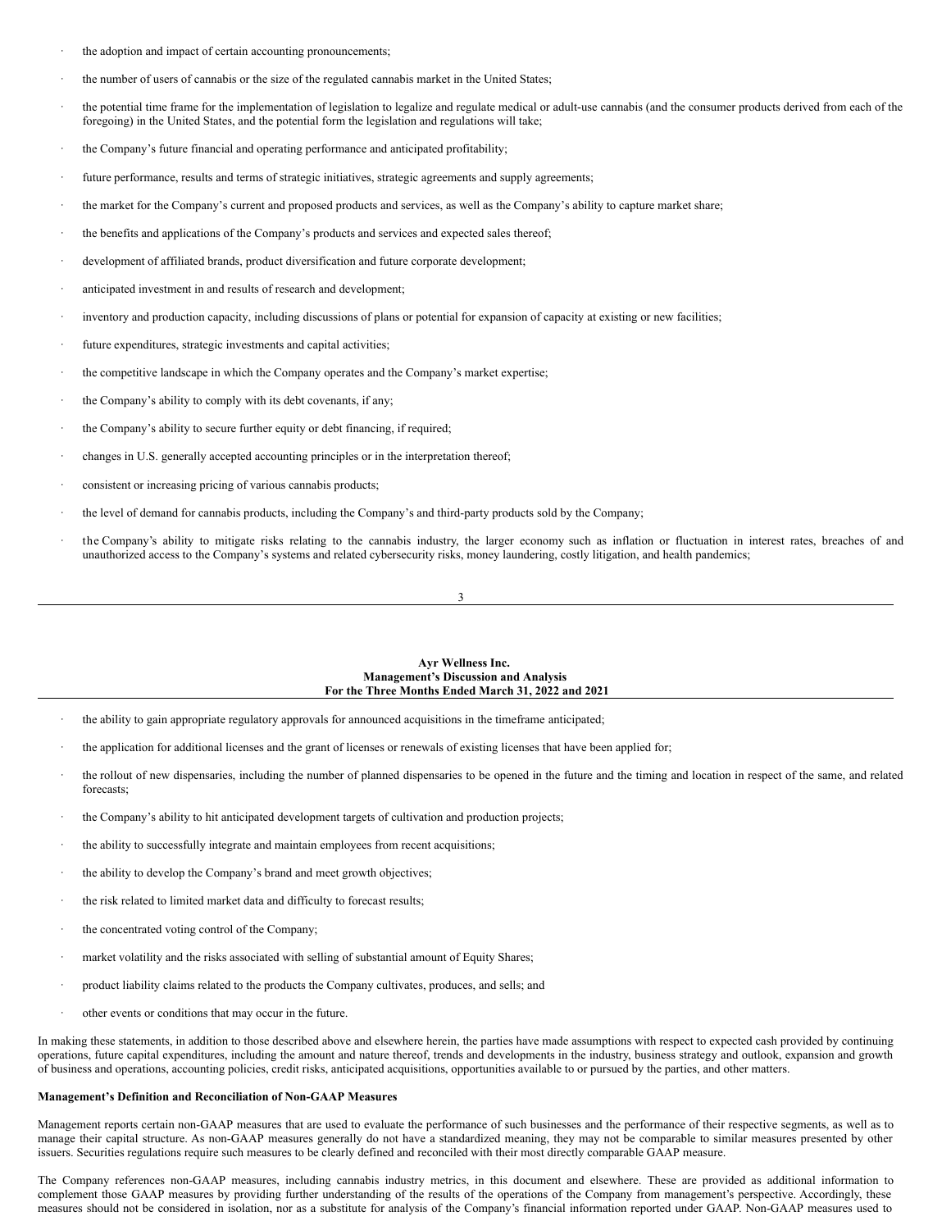- the adoption and impact of certain accounting pronouncements;
- the number of users of cannabis or the size of the regulated cannabis market in the United States;
- the potential time frame for the implementation of legislation to legalize and regulate medical or adult-use cannabis (and the consumer products derived from each of the foregoing) in the United States, and the potential form the legislation and regulations will take;
- the Company's future financial and operating performance and anticipated profitability;
- future performance, results and terms of strategic initiatives, strategic agreements and supply agreements;
- the market for the Company's current and proposed products and services, as well as the Company's ability to capture market share;
- the benefits and applications of the Company's products and services and expected sales thereof;
- development of affiliated brands, product diversification and future corporate development;
- anticipated investment in and results of research and development;
- inventory and production capacity, including discussions of plans or potential for expansion of capacity at existing or new facilities;
- future expenditures, strategic investments and capital activities;
- the competitive landscape in which the Company operates and the Company's market expertise;
- the Company's ability to comply with its debt covenants, if any;
- the Company's ability to secure further equity or debt financing, if required;
- changes in U.S. generally accepted accounting principles or in the interpretation thereof;
- consistent or increasing pricing of various cannabis products;
- the level of demand for cannabis products, including the Company's and third-party products sold by the Company;
- the Company's ability to mitigate risks relating to the cannabis industry, the larger economy such as inflation or fluctuation in interest rates, breaches of and unauthorized access to the Company's systems and related cybersecurity risks, money laundering, costly litigation, and health pandemics;

#### 3

### **Ayr Wellness Inc. Management's Discussion and Analysis For the Three Months Ended March 31, 2022 and 2021**

- the ability to gain appropriate regulatory approvals for announced acquisitions in the timeframe anticipated;
- the application for additional licenses and the grant of licenses or renewals of existing licenses that have been applied for;
- the rollout of new dispensaries, including the number of planned dispensaries to be opened in the future and the timing and location in respect of the same, and related forecasts;
- the Company's ability to hit anticipated development targets of cultivation and production projects;
- the ability to successfully integrate and maintain employees from recent acquisitions;
- the ability to develop the Company's brand and meet growth objectives;
- the risk related to limited market data and difficulty to forecast results;
- the concentrated voting control of the Company;
- market volatility and the risks associated with selling of substantial amount of Equity Shares;
- · product liability claims related to the products the Company cultivates, produces, and sells; and
- other events or conditions that may occur in the future.

In making these statements, in addition to those described above and elsewhere herein, the parties have made assumptions with respect to expected cash provided by continuing operations, future capital expenditures, including the amount and nature thereof, trends and developments in the industry, business strategy and outlook, expansion and growth of business and operations, accounting policies, credit risks, anticipated acquisitions, opportunities available to or pursued by the parties, and other matters.

#### **Management's Definition and Reconciliation of Non-GAAP Measures**

Management reports certain non-GAAP measures that are used to evaluate the performance of such businesses and the performance of their respective segments, as well as to manage their capital structure. As non-GAAP measures generally do not have a standardized meaning, they may not be comparable to similar measures presented by other issuers. Securities regulations require such measures to be clearly defined and reconciled with their most directly comparable GAAP measure.

The Company references non-GAAP measures, including cannabis industry metrics, in this document and elsewhere. These are provided as additional information to complement those GAAP measures by providing further understanding of the results of the operations of the Company from management's perspective. Accordingly, these measures should not be considered in isolation, nor as a substitute for analysis of the Company's financial information reported under GAAP. Non-GAAP measures used to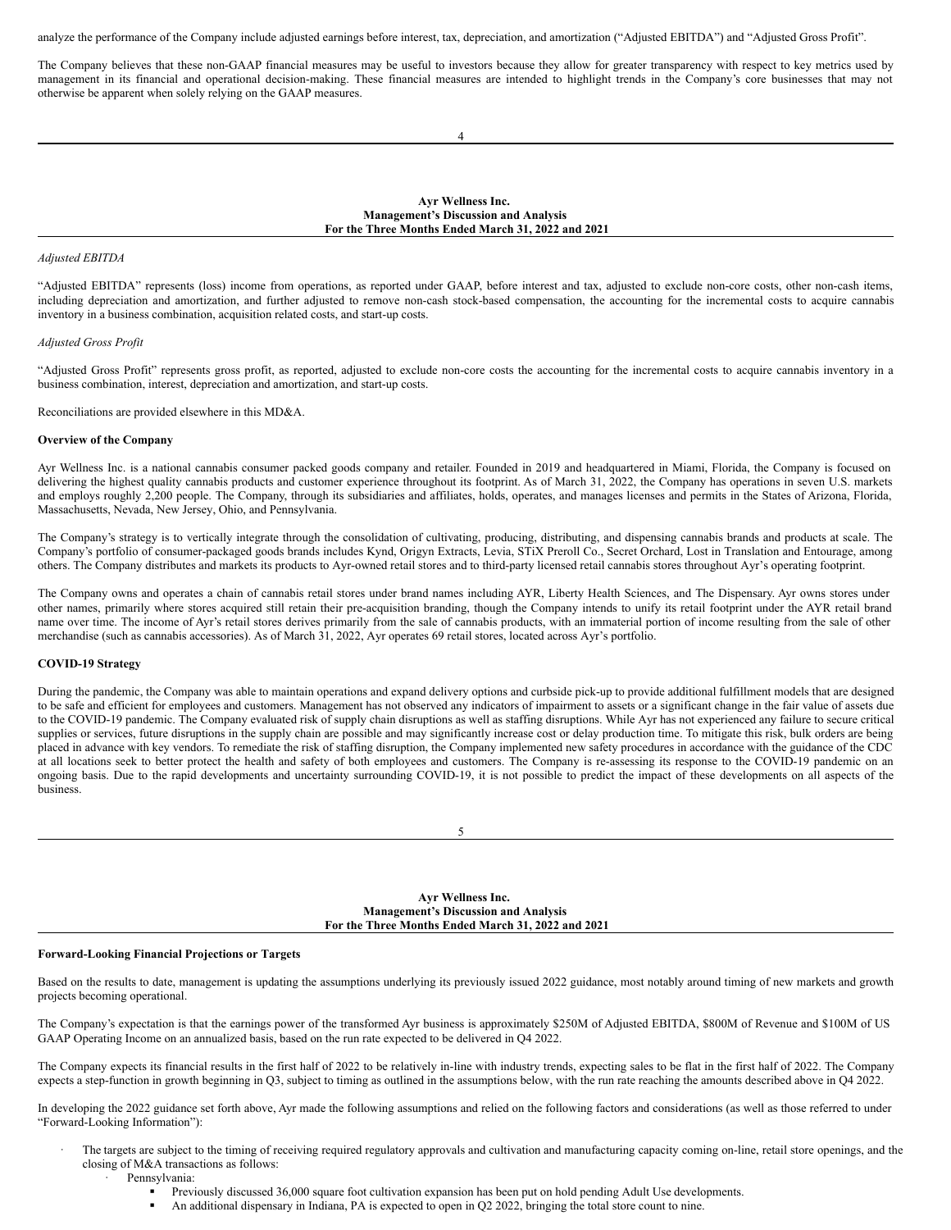analyze the performance of the Company include adjusted earnings before interest, tax, depreciation, and amortization ("Adjusted EBITDA") and "Adjusted Gross Profit".

The Company believes that these non-GAAP financial measures may be useful to investors because they allow for greater transparency with respect to key metrics used by management in its financial and operational decision-making. These financial measures are intended to highlight trends in the Company's core businesses that may not otherwise be apparent when solely relying on the GAAP measures.

4

**Ayr Wellness Inc. Management's Discussion and Analysis For the Three Months Ended March 31, 2022 and 2021**

### *Adjusted EBITDA*

"Adjusted EBITDA" represents (loss) income from operations, as reported under GAAP, before interest and tax, adjusted to exclude non-core costs, other non-cash items, including depreciation and amortization, and further adjusted to remove non-cash stock-based compensation, the accounting for the incremental costs to acquire cannabis inventory in a business combination, acquisition related costs, and start-up costs.

#### *Adjusted Gross Profit*

"Adjusted Gross Profit" represents gross profit, as reported, adjusted to exclude non-core costs the accounting for the incremental costs to acquire cannabis inventory in a business combination, interest, depreciation and amortization, and start-up costs.

Reconciliations are provided elsewhere in this MD&A.

### **Overview of the Company**

Ayr Wellness Inc. is a national cannabis consumer packed goods company and retailer. Founded in 2019 and headquartered in Miami, Florida, the Company is focused on delivering the highest quality cannabis products and customer experience throughout its footprint. As of March 31, 2022, the Company has operations in seven U.S. markets and employs roughly 2,200 people. The Company, through its subsidiaries and affiliates, holds, operates, and manages licenses and permits in the States of Arizona, Florida, Massachusetts, Nevada, New Jersey, Ohio, and Pennsylvania.

The Company's strategy is to vertically integrate through the consolidation of cultivating, producing, distributing, and dispensing cannabis brands and products at scale. The Company's portfolio of consumer-packaged goods brands includes Kynd, Origyn Extracts, Levia, STiX Preroll Co., Secret Orchard, Lost in Translation and Entourage, among others. The Company distributes and markets its products to Ayr-owned retail stores and to third-party licensed retail cannabis stores throughout Ayr's operating footprint.

The Company owns and operates a chain of cannabis retail stores under brand names including AYR, Liberty Health Sciences, and The Dispensary. Ayr owns stores under other names, primarily where stores acquired still retain their pre-acquisition branding, though the Company intends to unify its retail footprint under the AYR retail brand name over time. The income of Ayr's retail stores derives primarily from the sale of cannabis products, with an immaterial portion of income resulting from the sale of other merchandise (such as cannabis accessories). As of March 31, 2022, Ayr operates 69 retail stores, located across Ayr's portfolio.

## **COVID-19 Strategy**

During the pandemic, the Company was able to maintain operations and expand delivery options and curbside pick-up to provide additional fulfillment models that are designed to be safe and efficient for employees and customers. Management has not observed any indicators of impairment to assets or a significant change in the fair value of assets due to the COVID-19 pandemic. The Company evaluated risk of supply chain disruptions as well as staffing disruptions. While Ayr has not experienced any failure to secure critical supplies or services, future disruptions in the supply chain are possible and may significantly increase cost or delay production time. To mitigate this risk, bulk orders are being placed in advance with key vendors. To remediate the risk of staffing disruption, the Company implemented new safety procedures in accordance with the guidance of the CDC at all locations seek to better protect the health and safety of both employees and customers. The Company is re-assessing its response to the COVID-19 pandemic on an ongoing basis. Due to the rapid developments and uncertainty surrounding COVID-19, it is not possible to predict the impact of these developments on all aspects of the business.

| I<br>I<br>$\sim$ |  |
|------------------|--|
|                  |  |

### **Ayr Wellness Inc. Management's Discussion and Analysis For the Three Months Ended March 31, 2022 and 2021**

## **Forward-Looking Financial Projections or Targets**

Based on the results to date, management is updating the assumptions underlying its previously issued 2022 guidance, most notably around timing of new markets and growth projects becoming operational.

The Company's expectation is that the earnings power of the transformed Ayr business is approximately \$250M of Adjusted EBITDA, \$800M of Revenue and \$100M of US GAAP Operating Income on an annualized basis, based on the run rate expected to be delivered in Q4 2022.

The Company expects its financial results in the first half of 2022 to be relatively in-line with industry trends, expecting sales to be flat in the first half of 2022. The Company expects a step-function in growth beginning in Q3, subject to timing as outlined in the assumptions below, with the run rate reaching the amounts described above in Q4 2022.

In developing the 2022 guidance set forth above, Ayr made the following assumptions and relied on the following factors and considerations (as well as those referred to under "Forward-Looking Information"):

- The targets are subject to the timing of receiving required regulatory approvals and cultivation and manufacturing capacity coming on-line, retail store openings, and the closing of M&A transactions as follows:
	- Pennsylvania:
		- § Previously discussed 36,000 square foot cultivation expansion has been put on hold pending Adult Use developments.
		- An additional dispensary in Indiana, PA is expected to open in Q2 2022, bringing the total store count to nine.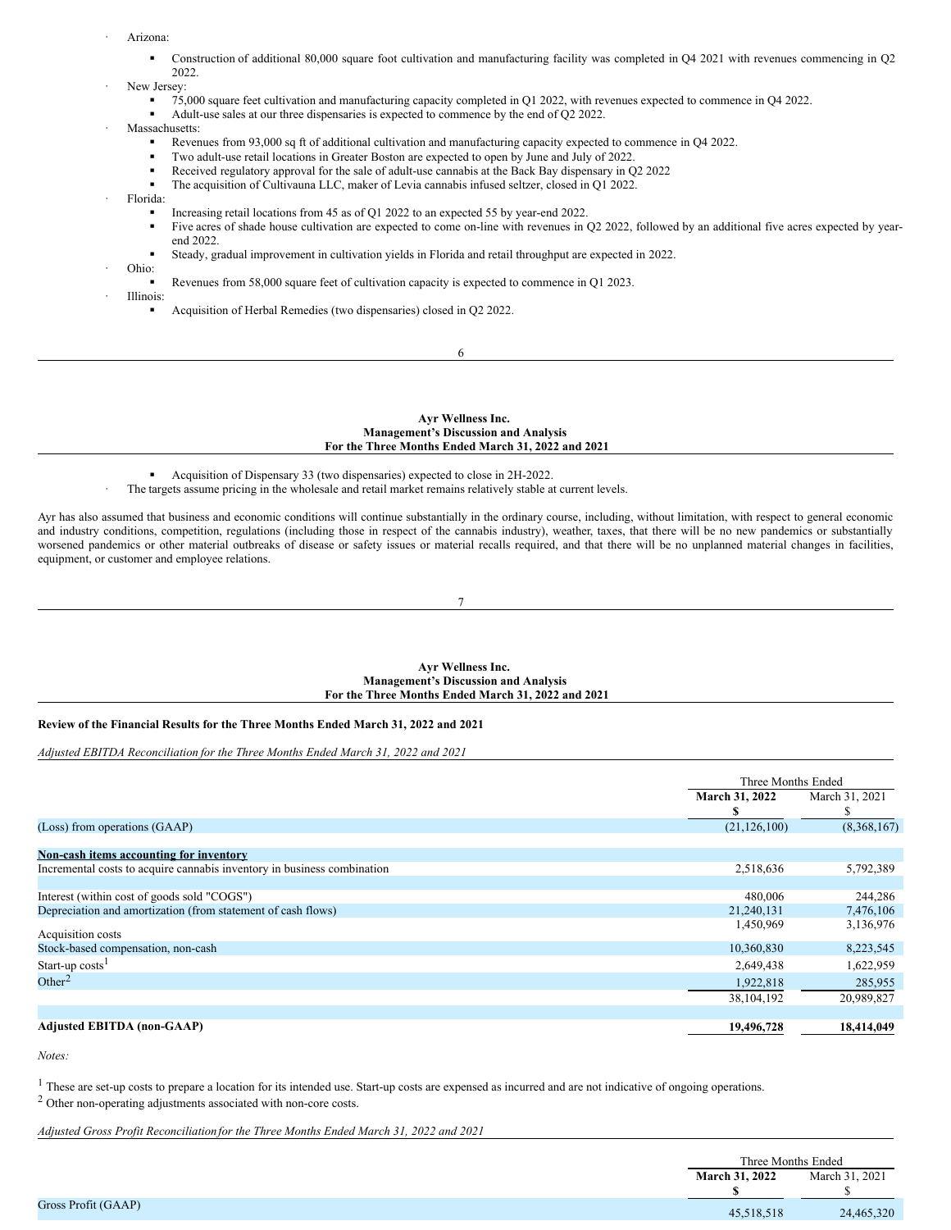- <span id="page-19-0"></span>Arizona:
	- § Construction of additional 80,000 square foot cultivation and manufacturing facility was completed in Q4 2021 with revenues commencing in Q2 2022.

## New Jersey:

- - § 75,000 square feet cultivation and manufacturing capacity completed in Q1 2022, with revenues expected to commence in Q4 2022.
	- § Adult-use sales at our three dispensaries is expected to commence by the end of Q2 2022.
- Massachusetts:
	- Revenues from 93,000 sq ft of additional cultivation and manufacturing capacity expected to commence in Q4 2022.
	- § Two adult-use retail locations in Greater Boston are expected to open by June and July of 2022.
	- Received regulatory approval for the sale of adult-use cannabis at the Back Bay dispensary in Q2 2022
	- § The acquisition of Cultivauna LLC, maker of Levia cannabis infused seltzer, closed in Q1 2022.
	- · Florida:
		- § Increasing retail locations from 45 as of Q1 2022 to an expected 55 by year-end 2022.
		- Five acres of shade house cultivation are expected to come on-line with revenues in Q2 2022, followed by an additional five acres expected by yearend 2022.
		- § Steady, gradual improvement in cultivation yields in Florida and retail throughput are expected in 2022.
- · Ohio:
	- Revenues from 58,000 square feet of cultivation capacity is expected to commence in Q1 2023.
	- · Illinois:
		- § Acquisition of Herbal Remedies (two dispensaries) closed in Q2 2022.
			- 6

### **Ayr Wellness Inc. Management's Discussion and Analysis For the Three Months Ended March 31, 2022 and 2021**

§ Acquisition of Dispensary 33 (two dispensaries) expected to close in 2H-2022.

The targets assume pricing in the wholesale and retail market remains relatively stable at current levels.

Ayr has also assumed that business and economic conditions will continue substantially in the ordinary course, including, without limitation, with respect to general economic and industry conditions, competition, regulations (including those in respect of the cannabis industry), weather, taxes, that there will be no new pandemics or substantially worsened pandemics or other material outbreaks of disease or safety issues or material recalls required, and that there will be no unplanned material changes in facilities, equipment, or customer and employee relations.

#### 7

### **Ayr Wellness Inc. Management's Discussion and Analysis For the Three Months Ended March 31, 2022 and 2021**

## **Review of the Financial Results for the Three Months Ended March 31, 2022 and 2021**

*Adjusted EBITDA Reconciliation for the Three Months Ended March 31, 2022 and 2021*

|                                                                         | Three Months Ended |                |  |
|-------------------------------------------------------------------------|--------------------|----------------|--|
|                                                                         | March 31, 2022     | March 31, 2021 |  |
|                                                                         | э                  | ъ              |  |
| (Loss) from operations (GAAP)                                           | (21, 126, 100)     | (8,368,167)    |  |
|                                                                         |                    |                |  |
| Non-cash items accounting for inventory                                 |                    |                |  |
| Incremental costs to acquire cannabis inventory in business combination | 2,518,636          | 5,792,389      |  |
|                                                                         |                    |                |  |
| Interest (within cost of goods sold "COGS")                             | 480,006            | 244,286        |  |
| Depreciation and amortization (from statement of cash flows)            | 21,240,131         | 7,476,106      |  |
| Acquisition costs                                                       | 1,450,969          | 3,136,976      |  |
|                                                                         |                    |                |  |
| Stock-based compensation, non-cash                                      | 10,360,830         | 8,223,545      |  |
| Start-up $costs1$                                                       | 2,649,438          | 1,622,959      |  |
| Other <sup>2</sup>                                                      | 1,922,818          | 285,955        |  |
|                                                                         | 38, 104, 192       | 20,989,827     |  |
|                                                                         |                    |                |  |
| <b>Adjusted EBITDA (non-GAAP)</b>                                       | 19,496,728         | 18,414,049     |  |

*Notes:*

<sup>1</sup> These are set-up costs to prepare a location for its intended use. Start-up costs are expensed as incurred and are not indicative of ongoing operations.

<sup>2</sup> Other non-operating adjustments associated with non-core costs.

*Adjusted Gross Profit Reconciliation for the Three Months Ended March 31, 2022 and 2021*

|                     | Three Months Ended |                |
|---------------------|--------------------|----------------|
|                     | March 31, 2022     | March 31, 2021 |
|                     |                    |                |
| Gross Profit (GAAP) | 45,518,518         | 24,465,320     |
|                     |                    |                |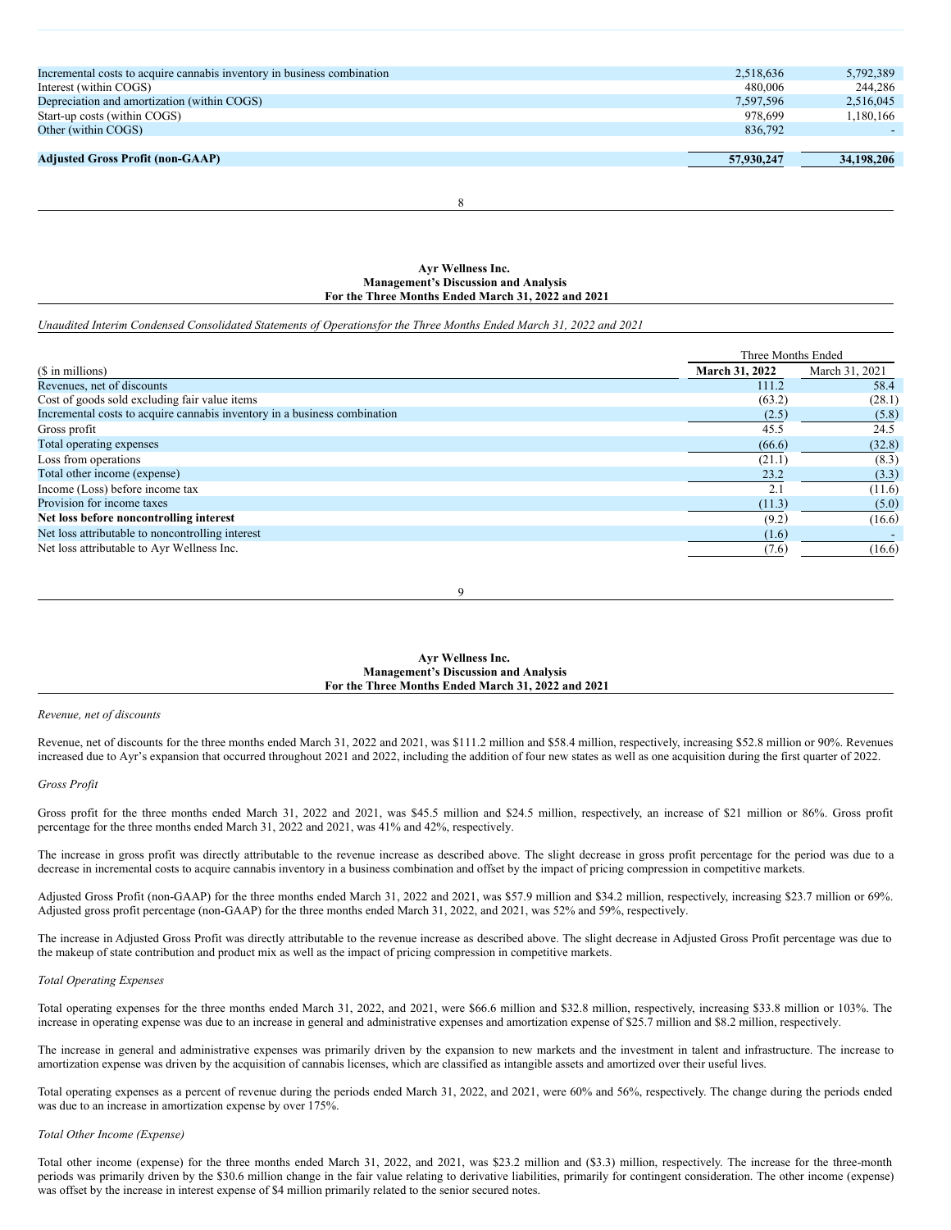| Incremental costs to acquire cannabis inventory in business combination | 2.518.636  | 5.792.389  |
|-------------------------------------------------------------------------|------------|------------|
| Interest (within COGS)                                                  | 480,006    | 244,286    |
| Depreciation and amortization (within COGS)                             | 7.597.596  | 2,516,045  |
| Start-up costs (within COGS)                                            | 978.699    | 1,180,166  |
| Other (within COGS)                                                     | 836.792    |            |
|                                                                         |            |            |
| <b>Adjusted Gross Profit (non-GAAP)</b>                                 | 57,930,247 | 34,198,206 |
|                                                                         |            |            |

8

**Ayr Wellness Inc. Management's Discussion and Analysis For the Three Months Ended March 31, 2022 and 2021**

Unaudited Interim Condensed Consolidated Statements of Operationsfor the Three Months Ended March 31, 2022 and 2021

|                                                                           | Three Months Ended |                |
|---------------------------------------------------------------------------|--------------------|----------------|
| (\$ in millions)                                                          | March 31, 2022     | March 31, 2021 |
| Revenues, net of discounts                                                | 111.2              | 58.4           |
| Cost of goods sold excluding fair value items                             | (63.2)             | (28.1)         |
| Incremental costs to acquire cannabis inventory in a business combination | (2.5)              | (5.8)          |
| Gross profit                                                              | 45.5               | 24.5           |
| Total operating expenses                                                  | (66.6)             | (32.8)         |
| Loss from operations                                                      | (21.1)             | (8.3)          |
| Total other income (expense)                                              | 23.2               | (3.3)          |
| Income (Loss) before income tax                                           | 2.1                | (11.6)         |
| Provision for income taxes                                                | (11.3)             | (5.0)          |
| Net loss before noncontrolling interest                                   | (9.2)              | (16.6)         |
| Net loss attributable to noncontrolling interest                          | (1.6)              |                |
| Net loss attributable to Ayr Wellness Inc.                                | (7.6)              | (16.6)         |

9

### **Ayr Wellness Inc. Management's Discussion and Analysis For the Three Months Ended March 31, 2022 and 2021**

### *Revenue, net of discounts*

Revenue, net of discounts for the three months ended March 31, 2022 and 2021, was \$111.2 million and \$58.4 million, respectively, increasing \$52.8 million or 90%. Revenues increased due to Ayr's expansion that occurred throughout 2021 and 2022, including the addition of four new states as well as one acquisition during the first quarter of 2022.

### *Gross Profit*

Gross profit for the three months ended March 31, 2022 and 2021, was \$45.5 million and \$24.5 million, respectively, an increase of \$21 million or 86%. Gross profit percentage for the three months ended March 31, 2022 and 2021, was 41% and 42%, respectively.

The increase in gross profit was directly attributable to the revenue increase as described above. The slight decrease in gross profit percentage for the period was due to a decrease in incremental costs to acquire cannabis inventory in a business combination and offset by the impact of pricing compression in competitive markets.

Adjusted Gross Profit (non-GAAP) for the three months ended March 31, 2022 and 2021, was \$57.9 million and \$34.2 million, respectively, increasing \$23.7 million or 69%. Adjusted gross profit percentage (non-GAAP) for the three months ended March 31, 2022, and 2021, was 52% and 59%, respectively.

The increase in Adjusted Gross Profit was directly attributable to the revenue increase as described above. The slight decrease in Adjusted Gross Profit percentage was due to the makeup of state contribution and product mix as well as the impact of pricing compression in competitive markets.

## *Total Operating Expenses*

Total operating expenses for the three months ended March 31, 2022, and 2021, were \$66.6 million and \$32.8 million, respectively, increasing \$33.8 million or 103%. The increase in operating expense was due to an increase in general and administrative expenses and amortization expense of \$25.7 million and \$8.2 million, respectively.

The increase in general and administrative expenses was primarily driven by the expansion to new markets and the investment in talent and infrastructure. The increase to amortization expense was driven by the acquisition of cannabis licenses, which are classified as intangible assets and amortized over their useful lives.

Total operating expenses as a percent of revenue during the periods ended March 31, 2022, and 2021, were 60% and 56%, respectively. The change during the periods ended was due to an increase in amortization expense by over 175%.

#### *Total Other Income (Expense)*

Total other income (expense) for the three months ended March 31, 2022, and 2021, was \$23.2 million and (\$3.3) million, respectively. The increase for the three-month periods was primarily driven by the \$30.6 million change in the fair value relating to derivative liabilities, primarily for contingent consideration. The other income (expense) was offset by the increase in interest expense of \$4 million primarily related to the senior secured notes.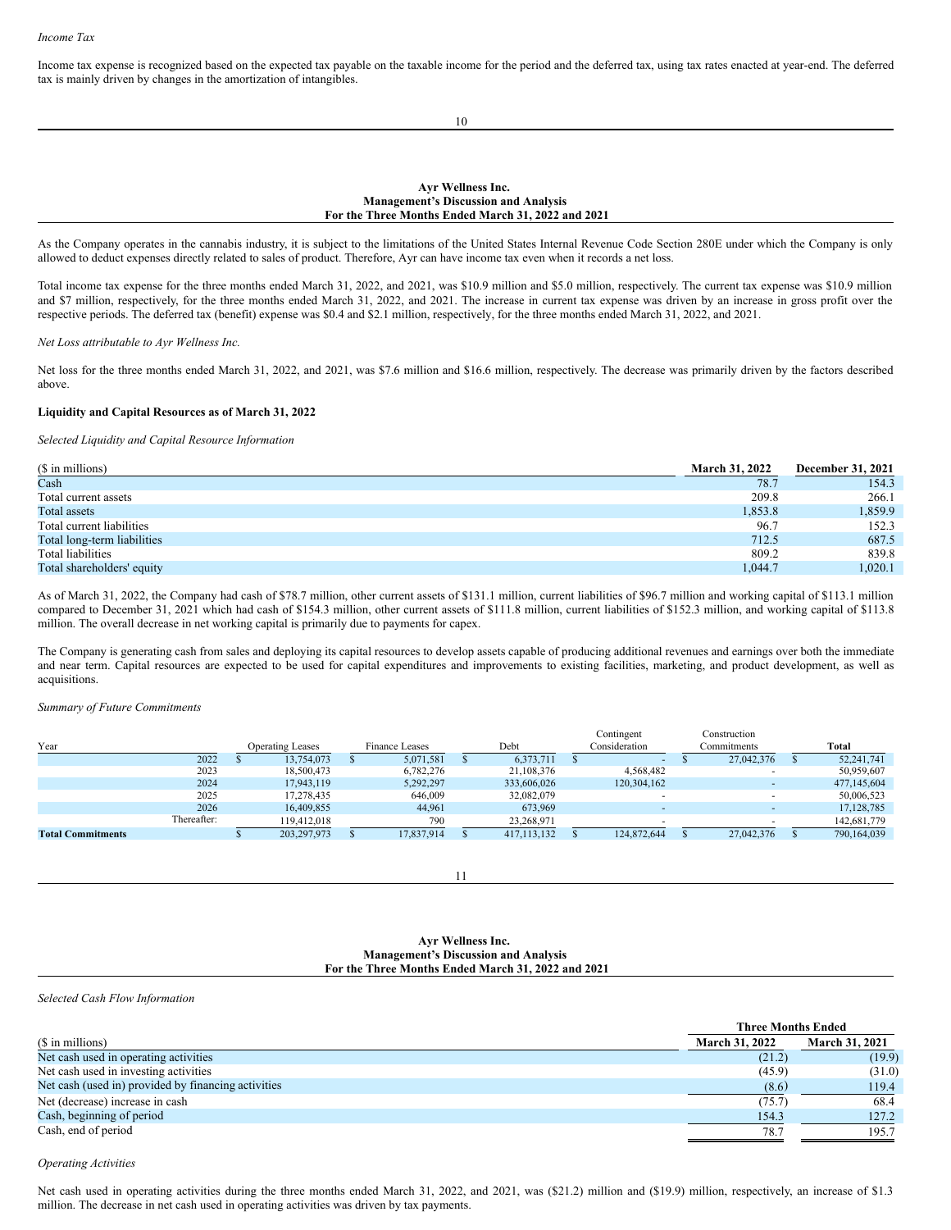Income tax expense is recognized based on the expected tax payable on the taxable income for the period and the deferred tax, using tax rates enacted at year-end. The deferred tax is mainly driven by changes in the amortization of intangibles.

10

### **Ayr Wellness Inc. Management's Discussion and Analysis For the Three Months Ended March 31, 2022 and 2021**

As the Company operates in the cannabis industry, it is subject to the limitations of the United States Internal Revenue Code Section 280E under which the Company is only allowed to deduct expenses directly related to sales of product. Therefore, Ayr can have income tax even when it records a net loss.

Total income tax expense for the three months ended March 31, 2022, and 2021, was \$10.9 million and \$5.0 million, respectively. The current tax expense was \$10.9 million and \$7 million, respectively, for the three months ended March 31, 2022, and 2021. The increase in current tax expense was driven by an increase in gross profit over the respective periods. The deferred tax (benefit) expense was \$0.4 and \$2.1 million, respectively, for the three months ended March 31, 2022, and 2021.

#### *Net Loss attributable to Ayr Wellness Inc.*

Net loss for the three months ended March 31, 2022, and 2021, was \$7.6 million and \$16.6 million, respectively. The decrease was primarily driven by the factors described above.

### **Liquidity and Capital Resources as of March 31, 2022**

*Selected Liquidity and Capital Resource Information*

| (\$ in millions)            | <b>March 31, 2022</b> | <b>December 31, 2021</b> |
|-----------------------------|-----------------------|--------------------------|
| Cash                        | 78.7                  | 154.3                    |
| Total current assets        | 209.8                 | 266.1                    |
| Total assets                | 1,853.8               | 1,859.9                  |
| Total current liabilities   | 96.7                  | 152.3                    |
| Total long-term liabilities | 712.5                 | 687.5                    |
| Total liabilities           | 809.2                 | 839.8                    |
| Total shareholders' equity  | 1.044.7               | 1.020.1                  |

As of March 31, 2022, the Company had cash of \$78.7 million, other current assets of \$131.1 million, current liabilities of \$96.7 million and working capital of \$113.1 million compared to December 31, 2021 which had cash of \$154.3 million, other current assets of \$111.8 million, current liabilities of \$152.3 million, and working capital of \$113.8 million. The overall decrease in net working capital is primarily due to payments for capex.

The Company is generating cash from sales and deploying its capital resources to develop assets capable of producing additional revenues and earnings over both the immediate and near term. Capital resources are expected to be used for capital expenditures and improvements to existing facilities, marketing, and product development, as well as acquisitions.

*Summary of Future Commitments*

|                          |             |                                                          |               |            |  |               | Contingent    | Construction |              |
|--------------------------|-------------|----------------------------------------------------------|---------------|------------|--|---------------|---------------|--------------|--------------|
| Year                     |             | Debt<br><b>Finance Leases</b><br><b>Operating Leases</b> |               |            |  |               | Consideration | Commitments  | Total        |
|                          | 2022        |                                                          | 13.754.073    | 5,071,581  |  | 6.373.711     |               | 27,042,376   | 52.241.741   |
|                          | 2023        |                                                          | 18,500,473    | 6,782,276  |  | 21,108,376    | 4,568,482     |              | 50,959,607   |
|                          | 2024        |                                                          | 17.943.119    | 5,292,297  |  | 333,606,026   | 120,304,162   |              | 477,145,604  |
|                          | 2025        |                                                          | 17,278,435    | 646,009    |  | 32,082,079    |               |              | 50,006,523   |
|                          | 2026        |                                                          | 16,409,855    | 44.961     |  | 673,969       |               |              | 17, 128, 785 |
|                          | Thereafter: |                                                          | 119,412,018   | 790        |  | 23,268,971    |               |              | 142,681,779  |
| <b>Total Commitments</b> |             |                                                          | 203, 297, 973 | 17,837,914 |  | 417, 113, 132 | 124,872,644   | 27,042,376   | 790,164,039  |

11

### **Ayr Wellness Inc. Management's Discussion and Analysis For the Three Months Ended March 31, 2022 and 2021**

*Selected Cash Flow Information*

|                                                     |                       | <b>Three Months Ended</b> |  |  |  |
|-----------------------------------------------------|-----------------------|---------------------------|--|--|--|
| (\$ in millions)                                    | <b>March 31, 2022</b> | <b>March 31, 2021</b>     |  |  |  |
| Net cash used in operating activities               | (21.2)                | (19.9)                    |  |  |  |
| Net cash used in investing activities               | (45.9)                | (31.0)                    |  |  |  |
| Net cash (used in) provided by financing activities | (8.6)                 | 119.4                     |  |  |  |
| Net (decrease) increase in cash                     | (75.7)                | 68.4                      |  |  |  |
| Cash, beginning of period                           | 154.3                 | 127.2                     |  |  |  |
| Cash, end of period                                 | 78.7                  | 195.7                     |  |  |  |

*Operating Activities*

Net cash used in operating activities during the three months ended March 31, 2022, and 2021, was (\$21.2) million and (\$19.9) million, respectively, an increase of \$1.3 million. The decrease in net cash used in operating activities was driven by tax payments.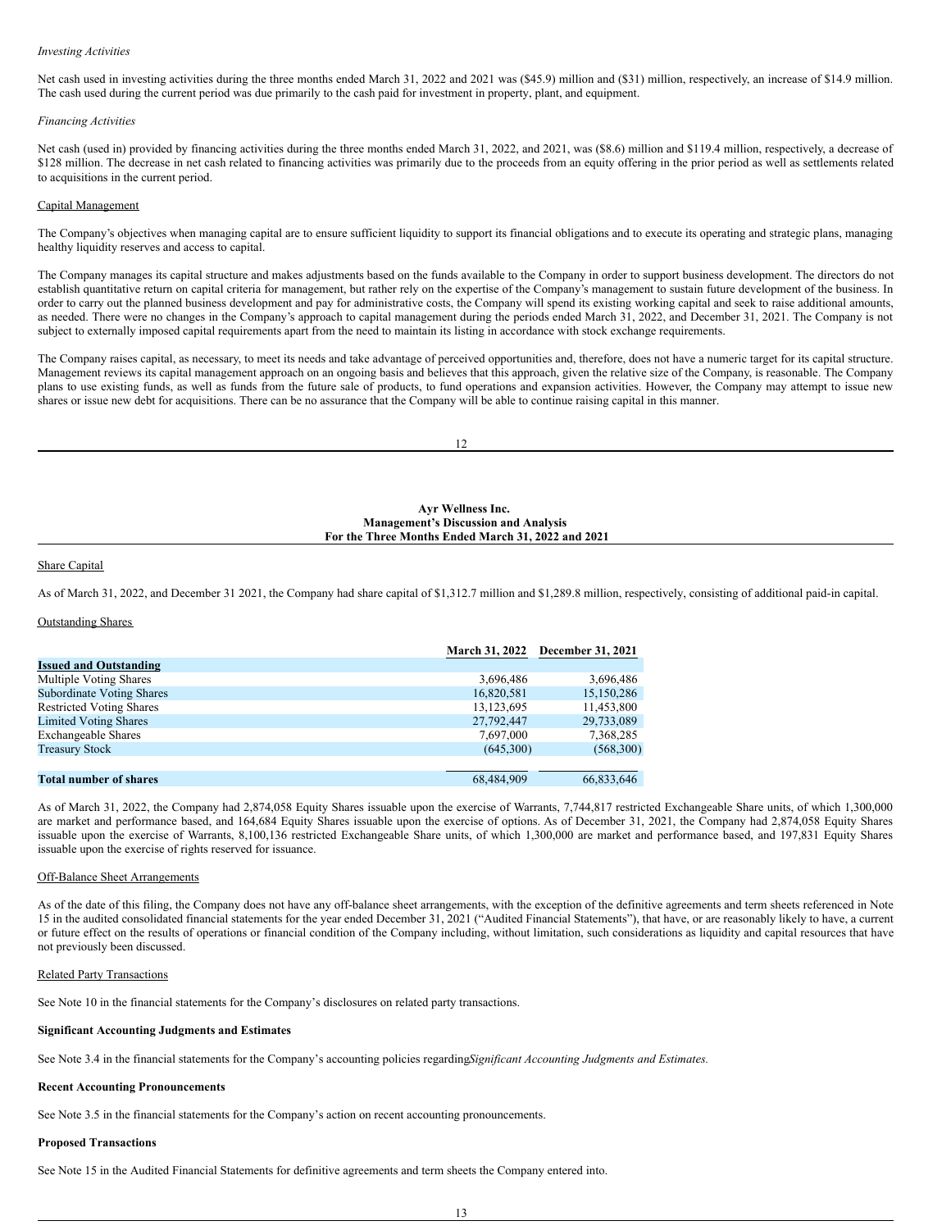### *Investing Activities*

Net cash used in investing activities during the three months ended March 31, 2022 and 2021 was (\$45.9) million and (\$31) million, respectively, an increase of \$14.9 million. The cash used during the current period was due primarily to the cash paid for investment in property, plant, and equipment.

### *Financing Activities*

Net cash (used in) provided by financing activities during the three months ended March 31, 2022, and 2021, was (\$8.6) million and \$119.4 million, respectively, a decrease of \$128 million. The decrease in net cash related to financing activities was primarily due to the proceeds from an equity offering in the prior period as well as settlements related to acquisitions in the current period.

### Capital Management

The Company's objectives when managing capital are to ensure sufficient liquidity to support its financial obligations and to execute its operating and strategic plans, managing healthy liquidity reserves and access to capital.

The Company manages its capital structure and makes adjustments based on the funds available to the Company in order to support business development. The directors do not establish quantitative return on capital criteria for management, but rather rely on the expertise of the Company's management to sustain future development of the business. In order to carry out the planned business development and pay for administrative costs, the Company will spend its existing working capital and seek to raise additional amounts, as needed. There were no changes in the Company's approach to capital management during the periods ended March 31, 2022, and December 31, 2021. The Company is not subject to externally imposed capital requirements apart from the need to maintain its listing in accordance with stock exchange requirements.

The Company raises capital, as necessary, to meet its needs and take advantage of perceived opportunities and, therefore, does not have a numeric target for its capital structure. Management reviews its capital management approach on an ongoing basis and believes that this approach, given the relative size of the Company, is reasonable. The Company plans to use existing funds, as well as funds from the future sale of products, to fund operations and expansion activities. However, the Company may attempt to issue new shares or issue new debt for acquisitions. There can be no assurance that the Company will be able to continue raising capital in this manner.

12

### **Ayr Wellness Inc. Management's Discussion and Analysis For the Three Months Ended March 31, 2022 and 2021**

### Share Capital

As of March 31, 2022, and December 31 2021, the Company had share capital of \$1,312.7 million and \$1,289.8 million, respectively, consisting of additional paid-in capital.

### Outstanding Shares

|                                  |            | March 31, 2022 December 31, 2021 |
|----------------------------------|------------|----------------------------------|
| <b>Issued and Outstanding</b>    |            |                                  |
| Multiple Voting Shares           | 3,696,486  | 3,696,486                        |
| <b>Subordinate Voting Shares</b> | 16,820,581 | 15,150,286                       |
| <b>Restricted Voting Shares</b>  | 13,123,695 | 11,453,800                       |
| <b>Limited Voting Shares</b>     | 27,792,447 | 29,733,089                       |
| <b>Exchangeable Shares</b>       | 7,697,000  | 7,368,285                        |
| <b>Treasury Stock</b>            | (645.300)  | (568,300)                        |
|                                  |            |                                  |
| <b>Total number of shares</b>    | 68.484.909 | 66.833.646                       |

As of March 31, 2022, the Company had 2,874,058 Equity Shares issuable upon the exercise of Warrants, 7,744,817 restricted Exchangeable Share units, of which 1,300,000 are market and performance based, and 164,684 Equity Shares issuable upon the exercise of options. As of December 31, 2021, the Company had 2,874,058 Equity Shares issuable upon the exercise of Warrants, 8,100,136 restricted Exchangeable Share units, of which 1,300,000 are market and performance based, and 197,831 Equity Shares issuable upon the exercise of rights reserved for issuance.

### Off-Balance Sheet Arrangements

As of the date of this filing, the Company does not have any off-balance sheet arrangements, with the exception of the definitive agreements and term sheets referenced in Note 15 in the audited consolidated financial statements for the year ended December 31, 2021 ("Audited Financial Statements"), that have, or are reasonably likely to have, a current or future effect on the results of operations or financial condition of the Company including, without limitation, such considerations as liquidity and capital resources that have not previously been discussed.

### Related Party Transactions

See Note 10 in the financial statements for the Company's disclosures on related party transactions.

## **Significant Accounting Judgments and Estimates**

See Note 3.4 in the financial statements for the Company's accounting policies regarding*Significant Accounting Judgments and Estimates.*

#### **Recent Accounting Pronouncements**

See Note 3.5 in the financial statements for the Company's action on recent accounting pronouncements.

#### **Proposed Transactions**

See Note 15 in the Audited Financial Statements for definitive agreements and term sheets the Company entered into.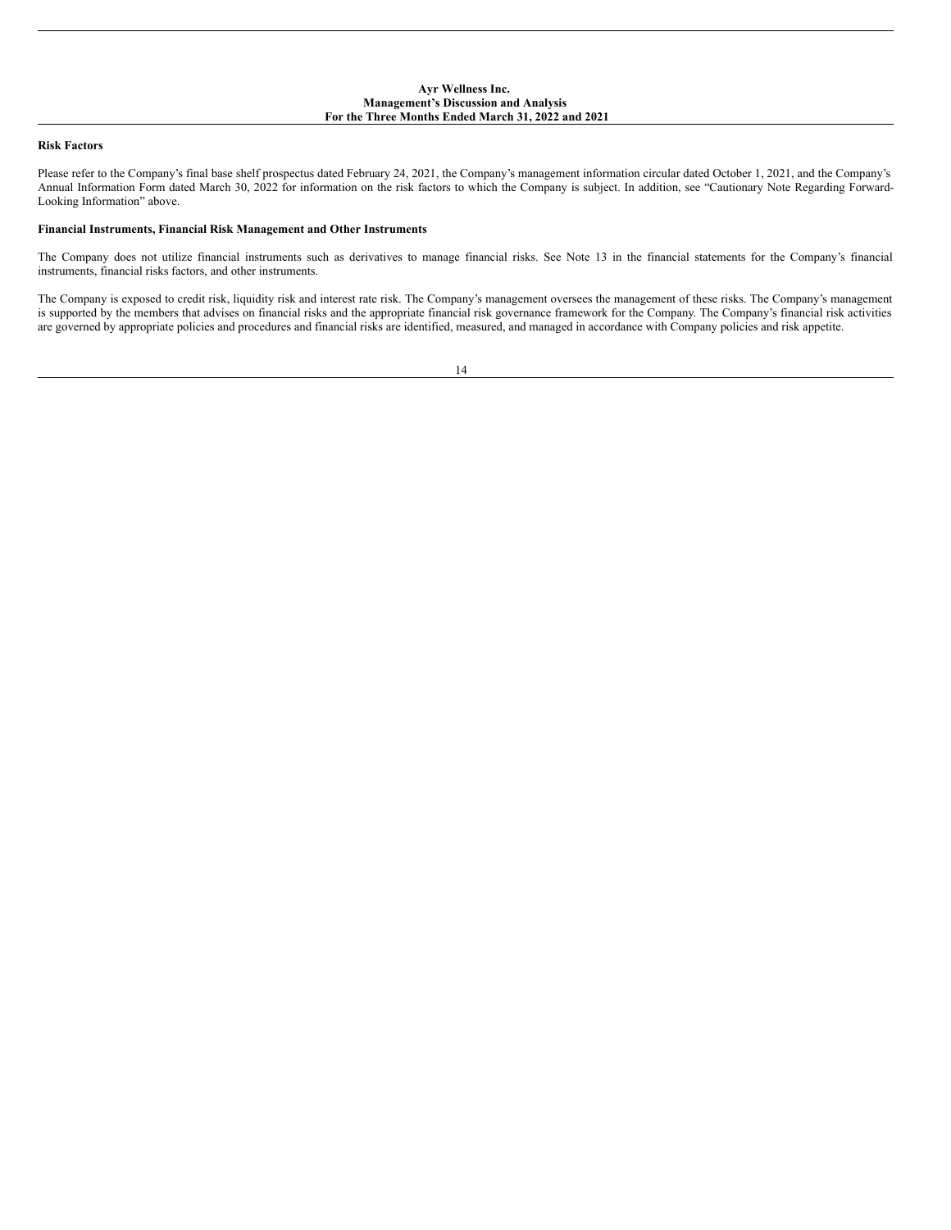### **Ayr Wellness Inc. Management's Discussion and Analysis For the Three Months Ended March 31, 2022 and 2021**

## **Risk Factors**

Please refer to the Company's final base shelf prospectus dated February 24, 2021, the Company's management information circular dated October 1, 2021, and the Company's Annual Information Form dated March 30, 2022 for information on the risk factors to which the Company is subject. In addition, see "Cautionary Note Regarding Forward-Looking Information" above.

### **Financial Instruments, Financial Risk Management and Other Instruments**

The Company does not utilize financial instruments such as derivatives to manage financial risks. See Note 13 in the financial statements for the Company's financial instruments, financial risks factors, and other instruments.

The Company is exposed to credit risk, liquidity risk and interest rate risk. The Company's management oversees the management of these risks. The Company's management is supported by the members that advises on financial risks and the appropriate financial risk governance framework for the Company. The Company's financial risk activities are governed by appropriate policies and procedures and financial risks are identified, measured, and managed in accordance with Company policies and risk appetite.

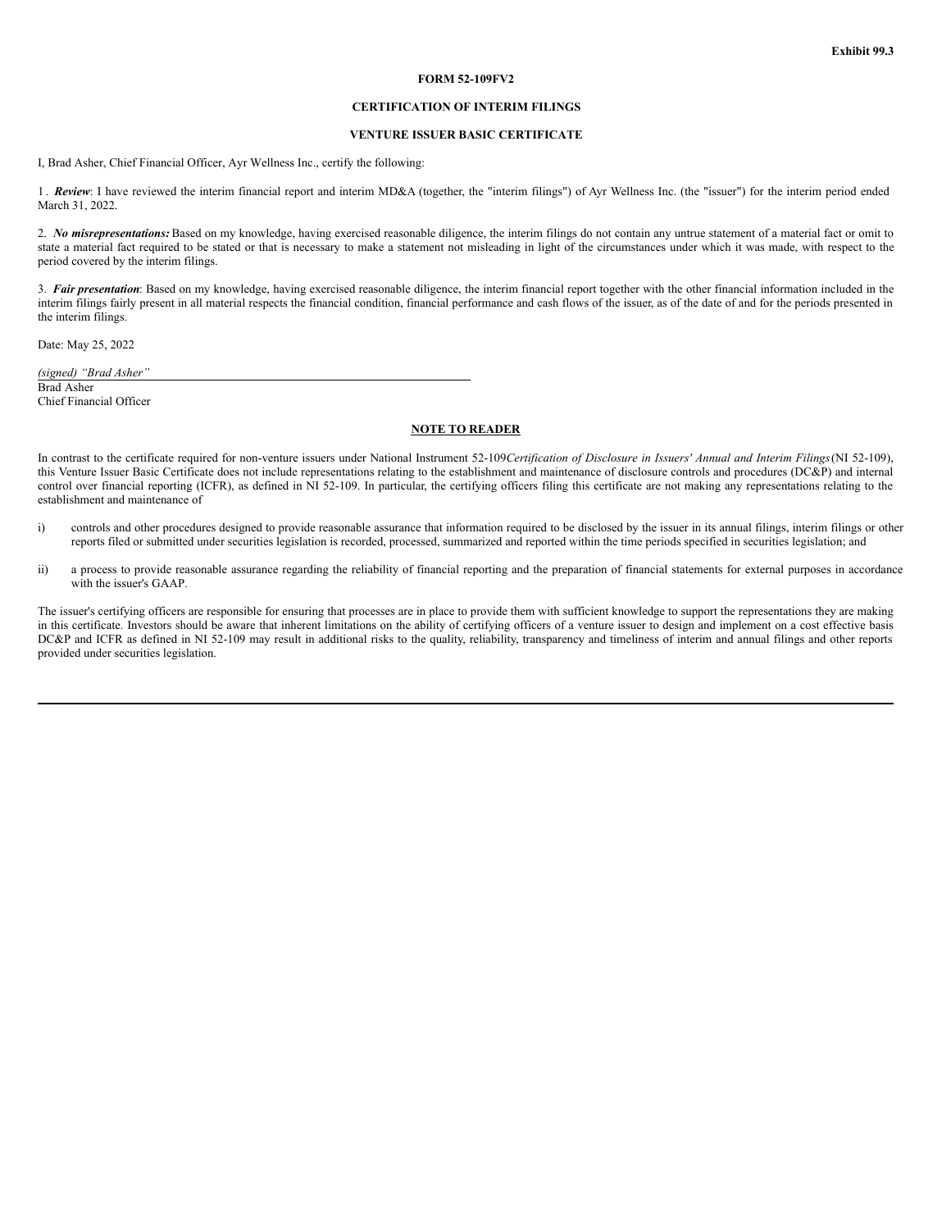### **FORM 52-109FV2**

## **CERTIFICATION OF INTERIM FILINGS**

## **VENTURE ISSUER BASIC CERTIFICATE**

<span id="page-24-0"></span>I, Brad Asher, Chief Financial Officer, Ayr Wellness Inc., certify the following:

1. Review: I have reviewed the interim financial report and interim MD&A (together, the "interim filings") of Ayr Wellness Inc. (the "issuer") for the interim period ended March 31, 2022.

2. *No misrepresentations:* Based on my knowledge, having exercised reasonable diligence, the interim filings do not contain any untrue statement of a material fact or omit to state a material fact required to be stated or that is necessary to make a statement not misleading in light of the circumstances under which it was made, with respect to the period covered by the interim filings.

3. *Fair presentation*: Based on my knowledge, having exercised reasonable diligence, the interim financial report together with the other financial information included in the interim filings fairly present in all material respects the financial condition, financial performance and cash flows of the issuer, as of the date of and for the periods presented in the interim filings.

Date: May 25, 2022

*(signed) "Brad Asher"* Brad Asher

Chief Financial Officer

### **NOTE TO READER**

In contrast to the certificate required for non-venture issuers under National Instrument 52-109Certification of Disclosure in Issuers' Annual and Interim Filings (NI 52-109), this Venture Issuer Basic Certificate does not include representations relating to the establishment and maintenance of disclosure controls and procedures (DC&P) and internal control over financial reporting (ICFR), as defined in NI 52-109. In particular, the certifying officers filing this certificate are not making any representations relating to the establishment and maintenance of

- i) controls and other procedures designed to provide reasonable assurance that information required to be disclosed by the issuer in its annual filings, interim filings or other reports filed or submitted under securities legislation is recorded, processed, summarized and reported within the time periods specified in securities legislation; and
- ii) a process to provide reasonable assurance regarding the reliability of financial reporting and the preparation of financial statements for external purposes in accordance with the issuer's GAAP.

The issuer's certifying officers are responsible for ensuring that processes are in place to provide them with sufficient knowledge to support the representations they are making in this certificate. Investors should be aware that inherent limitations on the ability of certifying officers of a venture issuer to design and implement on a cost effective basis DC&P and ICFR as defined in NI 52-109 may result in additional risks to the quality, reliability, transparency and timeliness of interim and annual filings and other reports provided under securities legislation.